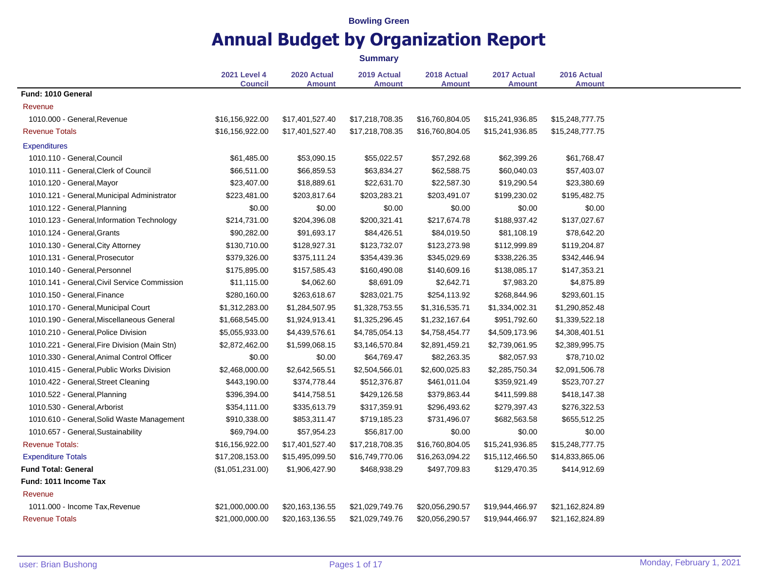|                                              |                                       |                              | <b>Summary</b>               |                              |                              |                              |
|----------------------------------------------|---------------------------------------|------------------------------|------------------------------|------------------------------|------------------------------|------------------------------|
|                                              | <b>2021 Level 4</b><br><b>Council</b> | 2020 Actual<br><b>Amount</b> | 2019 Actual<br><b>Amount</b> | 2018 Actual<br><b>Amount</b> | 2017 Actual<br><b>Amount</b> | 2016 Actual<br><b>Amount</b> |
| Fund: 1010 General                           |                                       |                              |                              |                              |                              |                              |
| Revenue                                      |                                       |                              |                              |                              |                              |                              |
| 1010.000 - General, Revenue                  | \$16,156,922.00                       | \$17,401,527.40              | \$17,218,708.35              | \$16,760,804.05              | \$15,241,936.85              | \$15,248,777.75              |
| <b>Revenue Totals</b>                        | \$16,156,922.00                       | \$17,401,527.40              | \$17,218,708.35              | \$16,760,804.05              | \$15,241,936.85              | \$15,248,777.75              |
| Expenditures                                 |                                       |                              |                              |                              |                              |                              |
| 1010.110 - General, Council                  | \$61,485.00                           | \$53,090.15                  | \$55,022.57                  | \$57,292.68                  | \$62,399.26                  | \$61,768.47                  |
| 1010.111 - General, Clerk of Council         | \$66,511.00                           | \$66,859.53                  | \$63,834.27                  | \$62,588.75                  | \$60,040.03                  | \$57,403.07                  |
| 1010.120 - General, Mayor                    | \$23,407.00                           | \$18,889.61                  | \$22,631.70                  | \$22,587.30                  | \$19,290.54                  | \$23,380.69                  |
| 1010.121 - General, Municipal Administrator  | \$223,481.00                          | \$203,817.64                 | \$203,283.21                 | \$203,491.07                 | \$199,230.02                 | \$195,482.75                 |
| 1010.122 - General, Planning                 | \$0.00                                | \$0.00                       | \$0.00                       | \$0.00                       | \$0.00                       | \$0.00                       |
| 1010.123 - General, Information Technology   | \$214,731.00                          | \$204,396.08                 | \$200,321.41                 | \$217,674.78                 | \$188,937.42                 | \$137,027.67                 |
| 1010.124 - General, Grants                   | \$90,282.00                           | \$91,693.17                  | \$84,426.51                  | \$84,019.50                  | \$81,108.19                  | \$78,642.20                  |
| 1010.130 - General, City Attorney            | \$130,710.00                          | \$128,927.31                 | \$123,732.07                 | \$123,273.98                 | \$112,999.89                 | \$119,204.87                 |
| 1010.131 - General, Prosecutor               | \$379,326.00                          | \$375,111.24                 | \$354,439.36                 | \$345,029.69                 | \$338,226.35                 | \$342,446.94                 |
| 1010.140 - General, Personnel                | \$175,895.00                          | \$157,585.43                 | \$160,490.08                 | \$140,609.16                 | \$138,085.17                 | \$147,353.21                 |
| 1010.141 - General, Civil Service Commission | \$11,115.00                           | \$4,062.60                   | \$8,691.09                   | \$2,642.71                   | \$7,983.20                   | \$4,875.89                   |
| 1010.150 - General, Finance                  | \$280,160.00                          | \$263,618.67                 | \$283,021.75                 | \$254,113.92                 | \$268,844.96                 | \$293,601.15                 |
| 1010.170 - General, Municipal Court          | \$1,312,283.00                        | \$1,284,507.95               | \$1,328,753.55               | \$1,316,535.71               | \$1,334,002.31               | \$1,290,852.48               |
| 1010.190 - General, Miscellaneous General    | \$1,668,545.00                        | \$1,924,913.41               | \$1,325,296.45               | \$1,232,167.64               | \$951,792.60                 | \$1,339,522.18               |
| 1010.210 - General, Police Division          | \$5,055,933.00                        | \$4,439,576.61               | \$4,785,054.13               | \$4,758,454.77               | \$4,509,173.96               | \$4,308,401.51               |
| 1010.221 - General, Fire Division (Main Stn) | \$2,872,462.00                        | \$1,599,068.15               | \$3,146,570.84               | \$2,891,459.21               | \$2,739,061.95               | \$2,389,995.75               |
| 1010.330 - General, Animal Control Officer   | \$0.00                                | \$0.00                       | \$64,769.47                  | \$82,263.35                  | \$82,057.93                  | \$78,710.02                  |
| 1010.415 - General, Public Works Division    | \$2,468,000.00                        | \$2,642,565.51               | \$2,504,566.01               | \$2,600,025.83               | \$2,285,750.34               | \$2,091,506.78               |
| 1010.422 - General, Street Cleaning          | \$443,190.00                          | \$374,778.44                 | \$512,376.87                 | \$461,011.04                 | \$359,921.49                 | \$523,707.27                 |
| 1010.522 - General, Planning                 | \$396,394.00                          | \$414,758.51                 | \$429,126.58                 | \$379,863.44                 | \$411,599.88                 | \$418,147.38                 |
| 1010.530 - General, Arborist                 | \$354,111.00                          | \$335,613.79                 | \$317,359.91                 | \$296,493.62                 | \$279,397.43                 | \$276,322.53                 |
| 1010.610 - General, Solid Waste Management   | \$910,338.00                          | \$853,311.47                 | \$719,185.23                 | \$731,496.07                 | \$682,563.58                 | \$655,512.25                 |
| 1010.657 - General, Sustainability           | \$69,794.00                           | \$57,954.23                  | \$56,817.00                  | \$0.00                       | \$0.00                       | \$0.00                       |
| <b>Revenue Totals:</b>                       | \$16,156,922.00                       | \$17,401,527.40              | \$17,218,708.35              | \$16,760,804.05              | \$15,241,936.85              | \$15,248,777.75              |
| <b>Expenditure Totals</b>                    | \$17,208,153.00                       | \$15,495,099.50              | \$16,749,770.06              | \$16,263,094.22              | \$15,112,466.50              | \$14,833,865.06              |
| <b>Fund Total: General</b>                   | (\$1,051,231.00)                      | \$1,906,427.90               | \$468,938.29                 | \$497,709.83                 | \$129,470.35                 | \$414,912.69                 |
| Fund: 1011 Income Tax                        |                                       |                              |                              |                              |                              |                              |
| Revenue                                      |                                       |                              |                              |                              |                              |                              |
| 1011.000 - Income Tax, Revenue               | \$21,000,000.00                       | \$20,163,136.55              | \$21,029,749.76              | \$20,056,290.57              | \$19,944,466.97              | \$21,162,824.89              |
| <b>Revenue Totals</b>                        | \$21,000,000.00                       | \$20,163,136.55              | \$21,029,749.76              | \$20,056,290.57              | \$19,944,466.97              | \$21,162,824.89              |
|                                              |                                       |                              |                              |                              |                              |                              |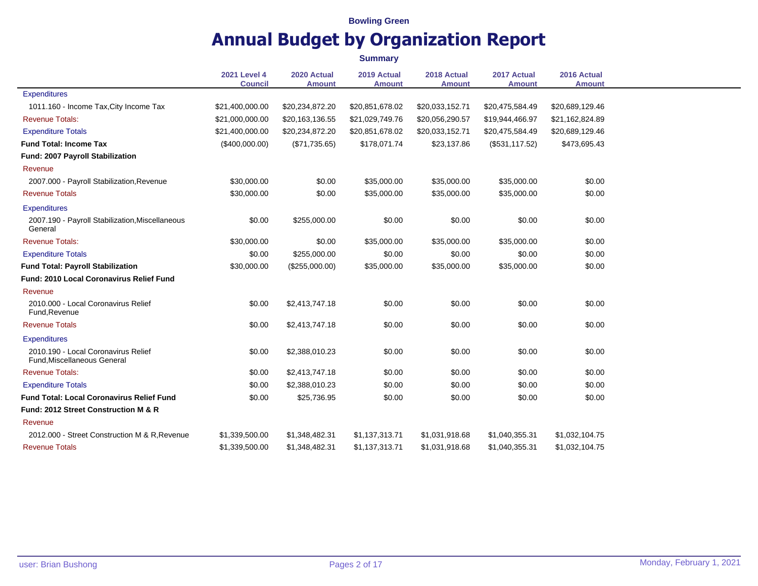|                                                                           |                                       |                              | <b>Summary</b>               |                              |                              |                              |
|---------------------------------------------------------------------------|---------------------------------------|------------------------------|------------------------------|------------------------------|------------------------------|------------------------------|
|                                                                           | <b>2021 Level 4</b><br><b>Council</b> | 2020 Actual<br><b>Amount</b> | 2019 Actual<br><b>Amount</b> | 2018 Actual<br><b>Amount</b> | 2017 Actual<br><b>Amount</b> | 2016 Actual<br><b>Amount</b> |
| <b>Expenditures</b>                                                       |                                       |                              |                              |                              |                              |                              |
| 1011.160 - Income Tax, City Income Tax                                    | \$21,400,000.00                       | \$20,234,872.20              | \$20,851,678.02              | \$20,033,152.71              | \$20,475,584.49              | \$20,689,129.46              |
| <b>Revenue Totals:</b>                                                    | \$21,000,000.00                       | \$20,163,136.55              | \$21,029,749.76              | \$20,056,290.57              | \$19,944,466.97              | \$21,162,824.89              |
| <b>Expenditure Totals</b>                                                 | \$21,400,000.00                       | \$20,234,872.20              | \$20,851,678.02              | \$20,033,152.71              | \$20,475,584.49              | \$20,689,129.46              |
| <b>Fund Total: Income Tax</b>                                             | (\$400,000.00)                        | (\$71,735.65)                | \$178,071.74                 | \$23,137.86                  | (\$531,117.52)               | \$473,695.43                 |
| Fund: 2007 Payroll Stabilization                                          |                                       |                              |                              |                              |                              |                              |
| Revenue                                                                   |                                       |                              |                              |                              |                              |                              |
| 2007.000 - Payroll Stabilization, Revenue                                 | \$30,000.00                           | \$0.00                       | \$35,000.00                  | \$35,000.00                  | \$35,000.00                  | \$0.00                       |
| <b>Revenue Totals</b>                                                     | \$30,000.00                           | \$0.00                       | \$35,000.00                  | \$35,000.00                  | \$35,000.00                  | \$0.00                       |
| <b>Expenditures</b>                                                       |                                       |                              |                              |                              |                              |                              |
| 2007.190 - Payroll Stabilization, Miscellaneous<br>General                | \$0.00                                | \$255,000.00                 | \$0.00                       | \$0.00                       | \$0.00                       | \$0.00                       |
| <b>Revenue Totals:</b>                                                    | \$30,000.00                           | \$0.00                       | \$35,000.00                  | \$35,000.00                  | \$35,000.00                  | \$0.00                       |
| <b>Expenditure Totals</b>                                                 | \$0.00                                | \$255,000.00                 | \$0.00                       | \$0.00                       | \$0.00                       | \$0.00                       |
| <b>Fund Total: Payroll Stabilization</b>                                  | \$30,000.00                           | (\$255,000.00)               | \$35,000.00                  | \$35,000.00                  | \$35,000.00                  | \$0.00                       |
| <b>Fund: 2010 Local Coronavirus Relief Fund</b>                           |                                       |                              |                              |                              |                              |                              |
| Revenue                                                                   |                                       |                              |                              |                              |                              |                              |
| 2010.000 - Local Coronavirus Relief<br>Fund, Revenue                      | \$0.00                                | \$2,413,747.18               | \$0.00                       | \$0.00                       | \$0.00                       | \$0.00                       |
| <b>Revenue Totals</b>                                                     | \$0.00                                | \$2,413,747.18               | \$0.00                       | \$0.00                       | \$0.00                       | \$0.00                       |
| <b>Expenditures</b>                                                       |                                       |                              |                              |                              |                              |                              |
| 2010.190 - Local Coronavirus Relief<br><b>Fund, Miscellaneous General</b> | \$0.00                                | \$2,388,010.23               | \$0.00                       | \$0.00                       | \$0.00                       | \$0.00                       |
| <b>Revenue Totals:</b>                                                    | \$0.00                                | \$2,413,747.18               | \$0.00                       | \$0.00                       | \$0.00                       | \$0.00                       |
| <b>Expenditure Totals</b>                                                 | \$0.00                                | \$2,388,010.23               | \$0.00                       | \$0.00                       | \$0.00                       | \$0.00                       |
| <b>Fund Total: Local Coronavirus Relief Fund</b>                          | \$0.00                                | \$25,736.95                  | \$0.00                       | \$0.00                       | \$0.00                       | \$0.00                       |
| <b>Fund: 2012 Street Construction M &amp; R</b>                           |                                       |                              |                              |                              |                              |                              |
| Revenue                                                                   |                                       |                              |                              |                              |                              |                              |
| 2012.000 - Street Construction M & R, Revenue                             | \$1,339,500.00                        | \$1,348,482.31               | \$1,137,313.71               | \$1,031,918.68               | \$1,040,355.31               | \$1,032,104.75               |
| <b>Revenue Totals</b>                                                     | \$1,339,500.00                        | \$1,348,482.31               | \$1,137,313.71               | \$1,031,918.68               | \$1,040,355.31               | \$1,032,104.75               |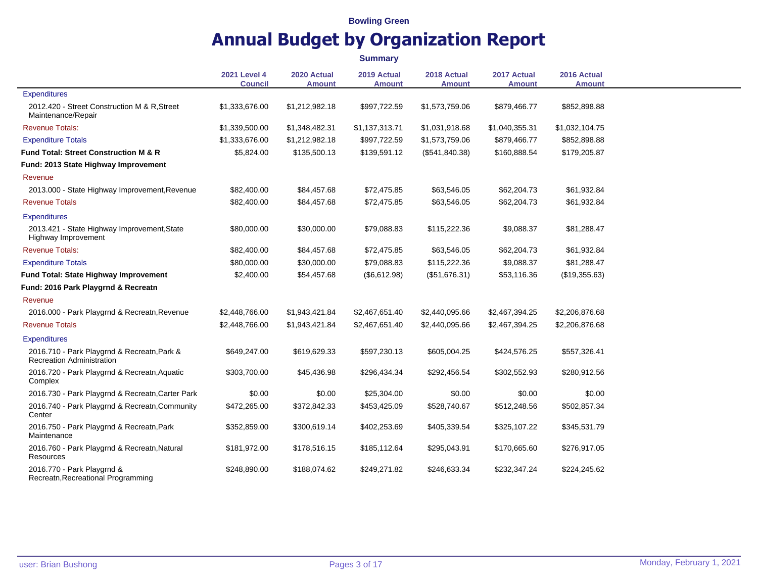|                                                                                 |                                       |                              | <b>Summary</b>               |                              |                              |                              |
|---------------------------------------------------------------------------------|---------------------------------------|------------------------------|------------------------------|------------------------------|------------------------------|------------------------------|
|                                                                                 | <b>2021 Level 4</b><br><b>Council</b> | 2020 Actual<br><b>Amount</b> | 2019 Actual<br><b>Amount</b> | 2018 Actual<br><b>Amount</b> | 2017 Actual<br><b>Amount</b> | 2016 Actual<br><b>Amount</b> |
| <b>Expenditures</b>                                                             |                                       |                              |                              |                              |                              |                              |
| 2012.420 - Street Construction M & R, Street<br>Maintenance/Repair              | \$1,333,676.00                        | \$1,212,982.18               | \$997,722.59                 | \$1,573,759.06               | \$879,466.77                 | \$852,898.88                 |
| <b>Revenue Totals:</b>                                                          | \$1,339,500.00                        | \$1,348,482.31               | \$1,137,313.71               | \$1,031,918.68               | \$1,040,355.31               | \$1,032,104.75               |
| <b>Expenditure Totals</b>                                                       | \$1,333,676.00                        | \$1,212,982.18               | \$997,722.59                 | \$1,573,759.06               | \$879,466.77                 | \$852,898.88                 |
| Fund Total: Street Construction M & R                                           | \$5,824.00                            | \$135,500.13                 | \$139,591.12                 | (\$541, 840.38)              | \$160,888.54                 | \$179,205.87                 |
| Fund: 2013 State Highway Improvement                                            |                                       |                              |                              |                              |                              |                              |
| Revenue                                                                         |                                       |                              |                              |                              |                              |                              |
| 2013.000 - State Highway Improvement, Revenue                                   | \$82,400.00                           | \$84,457.68                  | \$72,475.85                  | \$63,546.05                  | \$62,204.73                  | \$61,932.84                  |
| Revenue Totals                                                                  | \$82,400.00                           | \$84,457.68                  | \$72,475.85                  | \$63,546.05                  | \$62,204.73                  | \$61,932.84                  |
| <b>Expenditures</b>                                                             |                                       |                              |                              |                              |                              |                              |
| 2013.421 - State Highway Improvement, State<br>Highway Improvement              | \$80,000.00                           | \$30,000.00                  | \$79,088.83                  | \$115,222.36                 | \$9,088.37                   | \$81,288.47                  |
| <b>Revenue Totals:</b>                                                          | \$82,400.00                           | \$84,457.68                  | \$72,475.85                  | \$63,546.05                  | \$62,204.73                  | \$61,932.84                  |
| <b>Expenditure Totals</b>                                                       | \$80,000.00                           | \$30,000.00                  | \$79,088.83                  | \$115,222.36                 | \$9,088.37                   | \$81,288.47                  |
| Fund Total: State Highway Improvement                                           | \$2,400.00                            | \$54,457.68                  | (\$6,612.98)                 | (\$51,676.31)                | \$53,116.36                  | (\$19,355.63)                |
| Fund: 2016 Park Playgrnd & Recreatn                                             |                                       |                              |                              |                              |                              |                              |
| Revenue                                                                         |                                       |                              |                              |                              |                              |                              |
| 2016.000 - Park Playgrnd & Recreatn, Revenue                                    | \$2,448,766.00                        | \$1,943,421.84               | \$2,467,651.40               | \$2,440,095.66               | \$2,467,394.25               | \$2,206,876.68               |
| <b>Revenue Totals</b>                                                           | \$2,448,766.00                        | \$1,943,421.84               | \$2,467,651.40               | \$2,440,095.66               | \$2,467,394.25               | \$2,206,876.68               |
| <b>Expenditures</b>                                                             |                                       |                              |                              |                              |                              |                              |
| 2016.710 - Park Playgrnd & Recreatn, Park &<br><b>Recreation Administration</b> | \$649,247.00                          | \$619,629.33                 | \$597,230.13                 | \$605,004.25                 | \$424,576.25                 | \$557,326.41                 |
| 2016.720 - Park Playgrnd & Recreatn, Aquatic<br>Complex                         | \$303,700.00                          | \$45,436.98                  | \$296,434.34                 | \$292,456.54                 | \$302,552.93                 | \$280,912.56                 |
| 2016.730 - Park Playgrnd & Recreatn, Carter Park                                | \$0.00                                | \$0.00                       | \$25,304.00                  | \$0.00                       | \$0.00                       | \$0.00                       |
| 2016.740 - Park Playgrnd & Recreatn, Community<br>Center                        | \$472,265.00                          | \$372,842.33                 | \$453,425.09                 | \$528,740.67                 | \$512,248.56                 | \$502,857.34                 |
| 2016.750 - Park Playgrnd & Recreatn, Park<br>Maintenance                        | \$352,859.00                          | \$300,619.14                 | \$402,253.69                 | \$405,339.54                 | \$325,107.22                 | \$345,531.79                 |
| 2016.760 - Park Playgrnd & Recreatn, Natural<br>Resources                       | \$181,972.00                          | \$178,516.15                 | \$185,112.64                 | \$295,043.91                 | \$170,665.60                 | \$276,917.05                 |
| 2016.770 - Park Playgrnd &<br>Recreatn, Recreational Programming                | \$248,890.00                          | \$188,074.62                 | \$249,271.82                 | \$246,633.34                 | \$232,347.24                 | \$224,245.62                 |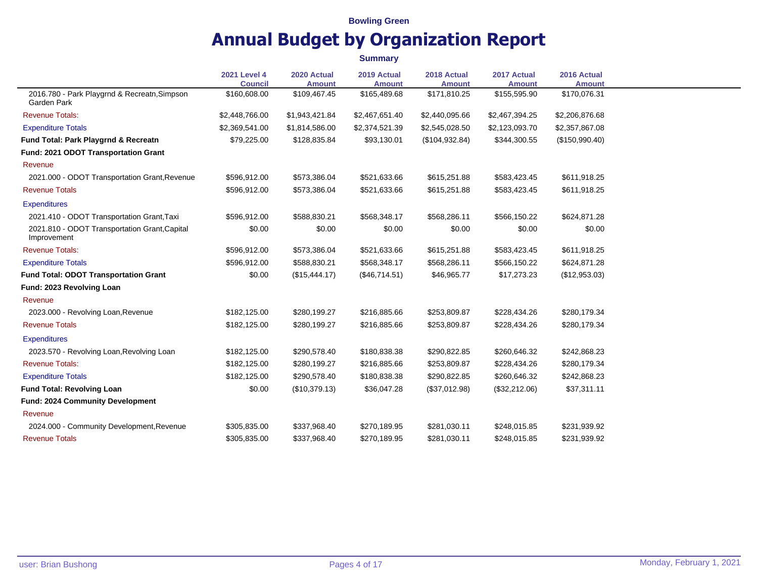**Summary**

|                                                              | <b>2021 Level 4</b><br><b>Council</b> | 2020 Actual<br><b>Amount</b> | 2019 Actual<br><b>Amount</b> | 2018 Actual<br><b>Amount</b> | 2017 Actual<br><b>Amount</b> | 2016 Actual<br><b>Amount</b> |
|--------------------------------------------------------------|---------------------------------------|------------------------------|------------------------------|------------------------------|------------------------------|------------------------------|
| 2016.780 - Park Playgrnd & Recreatn, Simpson<br>Garden Park  | \$160,608.00                          | \$109,467.45                 | \$165,489.68                 | \$171,810.25                 | \$155,595.90                 | \$170,076.31                 |
| <b>Revenue Totals:</b>                                       | \$2,448,766.00                        | \$1,943,421.84               | \$2,467,651.40               | \$2,440,095.66               | \$2,467,394.25               | \$2,206,876.68               |
| <b>Expenditure Totals</b>                                    | \$2,369,541.00                        | \$1,814,586.00               | \$2,374,521.39               | \$2,545,028.50               | \$2,123,093.70               | \$2,357,867.08               |
| Fund Total: Park Playgrnd & Recreatn                         | \$79,225.00                           | \$128,835.84                 | \$93,130.01                  | (\$104,932.84)               | \$344,300.55                 | (\$150,990.40)               |
| Fund: 2021 ODOT Transportation Grant                         |                                       |                              |                              |                              |                              |                              |
| Revenue                                                      |                                       |                              |                              |                              |                              |                              |
| 2021.000 - ODOT Transportation Grant, Revenue                | \$596,912.00                          | \$573,386.04                 | \$521,633.66                 | \$615,251.88                 | \$583,423.45                 | \$611,918.25                 |
| <b>Revenue Totals</b>                                        | \$596,912.00                          | \$573,386.04                 | \$521,633.66                 | \$615,251.88                 | \$583,423.45                 | \$611,918.25                 |
| <b>Expenditures</b>                                          |                                       |                              |                              |                              |                              |                              |
| 2021.410 - ODOT Transportation Grant, Taxi                   | \$596,912.00                          | \$588,830.21                 | \$568,348.17                 | \$568,286.11                 | \$566,150.22                 | \$624,871.28                 |
| 2021.810 - ODOT Transportation Grant, Capital<br>Improvement | \$0.00                                | \$0.00                       | \$0.00                       | \$0.00                       | \$0.00                       | \$0.00                       |
| <b>Revenue Totals:</b>                                       | \$596,912.00                          | \$573,386.04                 | \$521,633.66                 | \$615,251.88                 | \$583,423.45                 | \$611,918.25                 |
| <b>Expenditure Totals</b>                                    | \$596,912.00                          | \$588,830.21                 | \$568,348.17                 | \$568,286.11                 | \$566,150.22                 | \$624,871.28                 |
| <b>Fund Total: ODOT Transportation Grant</b>                 | \$0.00                                | (\$15,444.17)                | (\$46,714.51)                | \$46,965.77                  | \$17,273.23                  | (\$12,953.03)                |
| Fund: 2023 Revolving Loan                                    |                                       |                              |                              |                              |                              |                              |
| Revenue                                                      |                                       |                              |                              |                              |                              |                              |
| 2023.000 - Revolving Loan, Revenue                           | \$182,125.00                          | \$280,199.27                 | \$216,885.66                 | \$253,809.87                 | \$228,434.26                 | \$280,179.34                 |
| <b>Revenue Totals</b>                                        | \$182,125.00                          | \$280,199.27                 | \$216,885.66                 | \$253,809.87                 | \$228,434.26                 | \$280,179.34                 |
| <b>Expenditures</b>                                          |                                       |                              |                              |                              |                              |                              |
| 2023.570 - Revolving Loan, Revolving Loan                    | \$182,125.00                          | \$290,578.40                 | \$180,838.38                 | \$290,822.85                 | \$260,646.32                 | \$242,868.23                 |
| <b>Revenue Totals:</b>                                       | \$182,125.00                          | \$280,199.27                 | \$216,885.66                 | \$253,809.87                 | \$228,434.26                 | \$280,179.34                 |
| <b>Expenditure Totals</b>                                    | \$182,125.00                          | \$290,578.40                 | \$180,838.38                 | \$290,822.85                 | \$260,646.32                 | \$242,868.23                 |
| <b>Fund Total: Revolving Loan</b>                            | \$0.00                                | (\$10,379.13)                | \$36,047.28                  | (\$37,012.98)                | (\$32,212.06)                | \$37,311.11                  |
| Fund: 2024 Community Development                             |                                       |                              |                              |                              |                              |                              |
| Revenue                                                      |                                       |                              |                              |                              |                              |                              |
| 2024.000 - Community Development, Revenue                    | \$305,835.00                          | \$337,968.40                 | \$270,189.95                 | \$281,030.11                 | \$248,015.85                 | \$231,939.92                 |
| <b>Revenue Totals</b>                                        | \$305,835.00                          | \$337,968.40                 | \$270,189.95                 | \$281,030.11                 | \$248,015.85                 | \$231,939.92                 |
|                                                              |                                       |                              |                              |                              |                              |                              |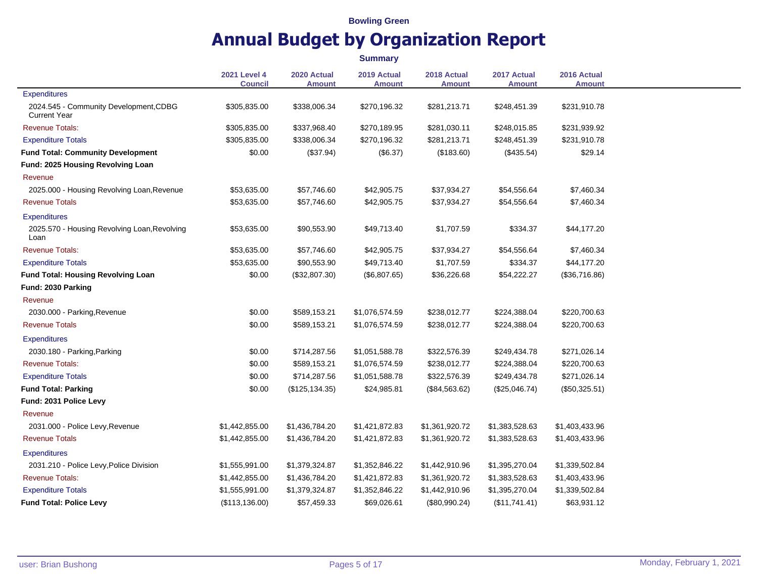|                                                               |                                       |                              | <b>Summary</b>               |                       |                              |                              |
|---------------------------------------------------------------|---------------------------------------|------------------------------|------------------------------|-----------------------|------------------------------|------------------------------|
|                                                               | <b>2021 Level 4</b><br><b>Council</b> | 2020 Actual<br><b>Amount</b> | 2019 Actual<br><b>Amount</b> | 2018 Actual<br>Amount | 2017 Actual<br><b>Amount</b> | 2016 Actual<br><b>Amount</b> |
| Expenditures                                                  |                                       |                              |                              |                       |                              |                              |
| 2024.545 - Community Development, CDBG<br><b>Current Year</b> | \$305,835.00                          | \$338,006.34                 | \$270,196.32                 | \$281,213.71          | \$248,451.39                 | \$231,910.78                 |
| <b>Revenue Totals:</b>                                        | \$305,835.00                          | \$337,968.40                 | \$270,189.95                 | \$281,030.11          | \$248,015.85                 | \$231,939.92                 |
| <b>Expenditure Totals</b>                                     | \$305,835.00                          | \$338,006.34                 | \$270,196.32                 | \$281,213.71          | \$248,451.39                 | \$231,910.78                 |
| <b>Fund Total: Community Development</b>                      | \$0.00                                | (\$37.94)                    | (\$6.37)                     | (\$183.60)            | (\$435.54)                   | \$29.14                      |
| Fund: 2025 Housing Revolving Loan                             |                                       |                              |                              |                       |                              |                              |
| Revenue                                                       |                                       |                              |                              |                       |                              |                              |
| 2025.000 - Housing Revolving Loan, Revenue                    | \$53,635.00                           | \$57,746.60                  | \$42,905.75                  | \$37,934.27           | \$54,556.64                  | \$7,460.34                   |
| <b>Revenue Totals</b>                                         | \$53,635.00                           | \$57,746.60                  | \$42,905.75                  | \$37,934.27           | \$54,556.64                  | \$7,460.34                   |
| <b>Expenditures</b>                                           |                                       |                              |                              |                       |                              |                              |
| 2025.570 - Housing Revolving Loan, Revolving<br>Loan          | \$53,635.00                           | \$90,553.90                  | \$49,713.40                  | \$1,707.59            | \$334.37                     | \$44,177.20                  |
| <b>Revenue Totals:</b>                                        | \$53,635.00                           | \$57,746.60                  | \$42,905.75                  | \$37,934.27           | \$54,556.64                  | \$7,460.34                   |
| <b>Expenditure Totals</b>                                     | \$53,635.00                           | \$90,553.90                  | \$49,713.40                  | \$1,707.59            | \$334.37                     | \$44,177.20                  |
| <b>Fund Total: Housing Revolving Loan</b>                     | \$0.00                                | (\$32,807.30)                | (\$6,807.65)                 | \$36,226.68           | \$54,222.27                  | (\$36,716.86)                |
| Fund: 2030 Parking                                            |                                       |                              |                              |                       |                              |                              |
| Revenue                                                       |                                       |                              |                              |                       |                              |                              |
| 2030.000 - Parking, Revenue                                   | \$0.00                                | \$589,153.21                 | \$1,076,574.59               | \$238,012.77          | \$224,388.04                 | \$220,700.63                 |
| <b>Revenue Totals</b>                                         | \$0.00                                | \$589,153.21                 | \$1,076,574.59               | \$238,012.77          | \$224,388.04                 | \$220,700.63                 |
| <b>Expenditures</b>                                           |                                       |                              |                              |                       |                              |                              |
| 2030.180 - Parking, Parking                                   | \$0.00                                | \$714,287.56                 | \$1,051,588.78               | \$322,576.39          | \$249,434.78                 | \$271,026.14                 |
| <b>Revenue Totals:</b>                                        | \$0.00                                | \$589,153.21                 | \$1,076,574.59               | \$238,012.77          | \$224,388.04                 | \$220,700.63                 |
| <b>Expenditure Totals</b>                                     | \$0.00                                | \$714,287.56                 | \$1,051,588.78               | \$322,576.39          | \$249,434.78                 | \$271,026.14                 |
| <b>Fund Total: Parking</b>                                    | \$0.00                                | (\$125, 134.35)              | \$24,985.81                  | (\$84,563.62)         | (\$25,046.74)                | (\$50,325.51)                |
| Fund: 2031 Police Levy                                        |                                       |                              |                              |                       |                              |                              |
| Revenue                                                       |                                       |                              |                              |                       |                              |                              |
| 2031.000 - Police Levy, Revenue                               | \$1,442,855.00                        | \$1,436,784.20               | \$1,421,872.83               | \$1,361,920.72        | \$1,383,528.63               | \$1,403,433.96               |
| <b>Revenue Totals</b>                                         | \$1,442,855.00                        | \$1,436,784.20               | \$1,421,872.83               | \$1,361,920.72        | \$1,383,528.63               | \$1,403,433.96               |
| <b>Expenditures</b>                                           |                                       |                              |                              |                       |                              |                              |
| 2031.210 - Police Levy, Police Division                       | \$1,555,991.00                        | \$1,379,324.87               | \$1,352,846.22               | \$1,442,910.96        | \$1,395,270.04               | \$1,339,502.84               |
| <b>Revenue Totals:</b>                                        | \$1,442,855.00                        | \$1,436,784.20               | \$1,421,872.83               | \$1,361,920.72        | \$1,383,528.63               | \$1,403,433.96               |
| <b>Expenditure Totals</b>                                     | \$1,555,991.00                        | \$1,379,324.87               | \$1,352,846.22               | \$1,442,910.96        | \$1,395,270.04               | \$1,339,502.84               |
| <b>Fund Total: Police Levy</b>                                | (\$113, 136.00)                       | \$57,459.33                  | \$69,026.61                  | (\$80,990.24)         | (\$11,741.41)                | \$63,931.12                  |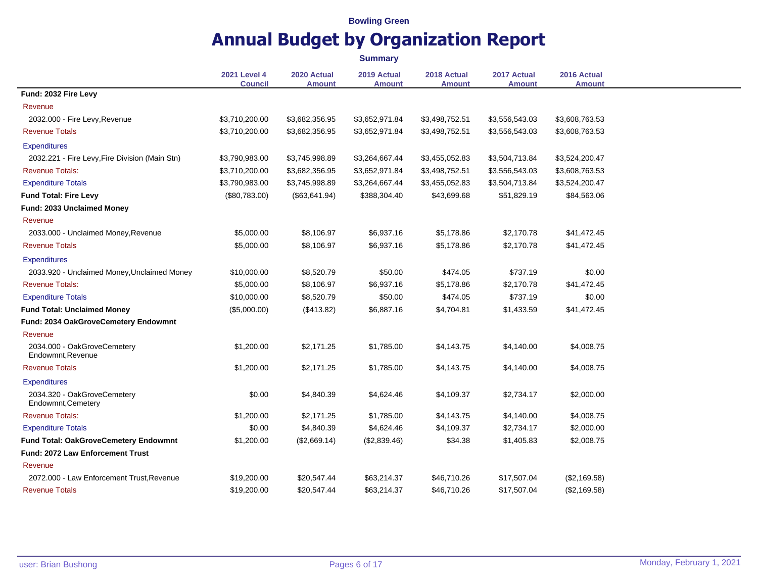|                                                   |                                       |                              | <b>Summary</b>               |                              |                              |                              |
|---------------------------------------------------|---------------------------------------|------------------------------|------------------------------|------------------------------|------------------------------|------------------------------|
|                                                   | <b>2021 Level 4</b><br><b>Council</b> | 2020 Actual<br><b>Amount</b> | 2019 Actual<br><b>Amount</b> | 2018 Actual<br><b>Amount</b> | 2017 Actual<br><b>Amount</b> | 2016 Actual<br><b>Amount</b> |
| Fund: 2032 Fire Levy                              |                                       |                              |                              |                              |                              |                              |
| Revenue                                           |                                       |                              |                              |                              |                              |                              |
| 2032.000 - Fire Levy, Revenue                     | \$3,710,200.00                        | \$3,682,356.95               | \$3,652,971.84               | \$3,498,752.51               | \$3,556,543.03               | \$3,608,763.53               |
| <b>Revenue Totals</b>                             | \$3,710,200.00                        | \$3,682,356.95               | \$3,652,971.84               | \$3,498,752.51               | \$3,556,543.03               | \$3,608,763.53               |
| <b>Expenditures</b>                               |                                       |                              |                              |                              |                              |                              |
| 2032.221 - Fire Levy, Fire Division (Main Stn)    | \$3,790,983.00                        | \$3,745,998.89               | \$3,264,667.44               | \$3,455,052.83               | \$3,504,713.84               | \$3,524,200.47               |
| <b>Revenue Totals:</b>                            | \$3,710,200.00                        | \$3,682,356.95               | \$3,652,971.84               | \$3,498,752.51               | \$3,556,543.03               | \$3,608,763.53               |
| <b>Expenditure Totals</b>                         | \$3,790,983.00                        | \$3,745,998.89               | \$3,264,667.44               | \$3,455,052.83               | \$3,504,713.84               | \$3,524,200.47               |
| <b>Fund Total: Fire Levy</b>                      | (\$80,783.00)                         | (\$63,641.94)                | \$388,304.40                 | \$43,699.68                  | \$51,829.19                  | \$84,563.06                  |
| Fund: 2033 Unclaimed Money                        |                                       |                              |                              |                              |                              |                              |
| Revenue                                           |                                       |                              |                              |                              |                              |                              |
| 2033.000 - Unclaimed Money, Revenue               | \$5,000.00                            | \$8,106.97                   | \$6,937.16                   | \$5,178.86                   | \$2,170.78                   | \$41,472.45                  |
| <b>Revenue Totals</b>                             | \$5,000.00                            | \$8,106.97                   | \$6,937.16                   | \$5,178.86                   | \$2,170.78                   | \$41,472.45                  |
| <b>Expenditures</b>                               |                                       |                              |                              |                              |                              |                              |
| 2033.920 - Unclaimed Money, Unclaimed Money       | \$10,000.00                           | \$8,520.79                   | \$50.00                      | \$474.05                     | \$737.19                     | \$0.00                       |
| <b>Revenue Totals:</b>                            | \$5,000.00                            | \$8,106.97                   | \$6,937.16                   | \$5,178.86                   | \$2,170.78                   | \$41,472.45                  |
| <b>Expenditure Totals</b>                         | \$10,000.00                           | \$8,520.79                   | \$50.00                      | \$474.05                     | \$737.19                     | \$0.00                       |
| <b>Fund Total: Unclaimed Money</b>                | (\$5,000.00)                          | (\$413.82)                   | \$6,887.16                   | \$4,704.81                   | \$1,433.59                   | \$41,472.45                  |
| Fund: 2034 OakGroveCemetery Endowmnt              |                                       |                              |                              |                              |                              |                              |
| Revenue                                           |                                       |                              |                              |                              |                              |                              |
| 2034.000 - OakGroveCemetery<br>Endowmnt.Revenue   | \$1,200.00                            | \$2,171.25                   | \$1,785.00                   | \$4,143.75                   | \$4,140.00                   | \$4,008.75                   |
| <b>Revenue Totals</b>                             | \$1,200.00                            | \$2,171.25                   | \$1,785.00                   | \$4,143.75                   | \$4,140.00                   | \$4,008.75                   |
| <b>Expenditures</b>                               |                                       |                              |                              |                              |                              |                              |
| 2034.320 - OakGroveCemetery<br>Endowmnt, Cemetery | \$0.00                                | \$4,840.39                   | \$4,624.46                   | \$4,109.37                   | \$2,734.17                   | \$2,000.00                   |
| <b>Revenue Totals:</b>                            | \$1,200.00                            | \$2,171.25                   | \$1,785.00                   | \$4,143.75                   | \$4,140.00                   | \$4,008.75                   |
| <b>Expenditure Totals</b>                         | \$0.00                                | \$4,840.39                   | \$4,624.46                   | \$4,109.37                   | \$2,734.17                   | \$2,000.00                   |
| Fund Total: OakGroveCemetery Endowmnt             | \$1,200.00                            | (\$2,669.14)                 | (\$2,839.46)                 | \$34.38                      | \$1,405.83                   | \$2,008.75                   |
| <b>Fund: 2072 Law Enforcement Trust</b>           |                                       |                              |                              |                              |                              |                              |
| Revenue                                           |                                       |                              |                              |                              |                              |                              |
| 2072.000 - Law Enforcement Trust, Revenue         | \$19,200.00                           | \$20,547.44                  | \$63,214.37                  | \$46,710.26                  | \$17,507.04                  | (\$2,169.58)                 |
| <b>Revenue Totals</b>                             | \$19,200.00                           | \$20,547.44                  | \$63,214.37                  | \$46,710.26                  | \$17,507.04                  | (\$2,169.58)                 |
|                                                   |                                       |                              |                              |                              |                              |                              |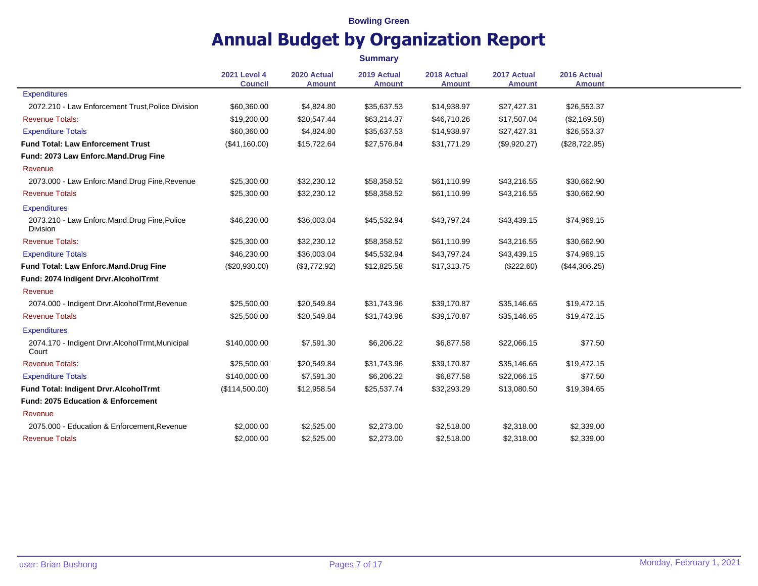|                                                                | <b>Summary</b>                        |                              |                              |                              |                              |                              |  |
|----------------------------------------------------------------|---------------------------------------|------------------------------|------------------------------|------------------------------|------------------------------|------------------------------|--|
|                                                                | <b>2021 Level 4</b><br><b>Council</b> | 2020 Actual<br><b>Amount</b> | 2019 Actual<br><b>Amount</b> | 2018 Actual<br><b>Amount</b> | 2017 Actual<br><b>Amount</b> | 2016 Actual<br><b>Amount</b> |  |
| Expenditures                                                   |                                       |                              |                              |                              |                              |                              |  |
| 2072.210 - Law Enforcement Trust, Police Division              | \$60,360.00                           | \$4,824.80                   | \$35,637.53                  | \$14,938.97                  | \$27,427.31                  | \$26,553.37                  |  |
| <b>Revenue Totals:</b>                                         | \$19,200.00                           | \$20,547.44                  | \$63,214.37                  | \$46,710.26                  | \$17,507.04                  | (\$2,169.58)                 |  |
| <b>Expenditure Totals</b>                                      | \$60,360.00                           | \$4,824.80                   | \$35,637.53                  | \$14,938.97                  | \$27,427.31                  | \$26,553.37                  |  |
| <b>Fund Total: Law Enforcement Trust</b>                       | (\$41,160.00)                         | \$15,722.64                  | \$27,576.84                  | \$31,771.29                  | (\$9,920.27)                 | (\$28,722.95)                |  |
| Fund: 2073 Law Enforc.Mand.Drug Fine                           |                                       |                              |                              |                              |                              |                              |  |
| Revenue                                                        |                                       |                              |                              |                              |                              |                              |  |
| 2073.000 - Law Enforc.Mand.Drug Fine, Revenue                  | \$25,300.00                           | \$32,230.12                  | \$58,358.52                  | \$61,110.99                  | \$43,216.55                  | \$30,662.90                  |  |
| <b>Revenue Totals</b>                                          | \$25,300.00                           | \$32,230.12                  | \$58,358.52                  | \$61,110.99                  | \$43,216.55                  | \$30,662.90                  |  |
| <b>Expenditures</b>                                            |                                       |                              |                              |                              |                              |                              |  |
| 2073.210 - Law Enforc.Mand.Drug Fine,Police<br><b>Division</b> | \$46,230.00                           | \$36,003.04                  | \$45,532.94                  | \$43,797.24                  | \$43,439.15                  | \$74,969.15                  |  |
| <b>Revenue Totals:</b>                                         | \$25,300.00                           | \$32,230.12                  | \$58,358.52                  | \$61,110.99                  | \$43,216.55                  | \$30,662.90                  |  |
| <b>Expenditure Totals</b>                                      | \$46,230.00                           | \$36,003.04                  | \$45,532.94                  | \$43,797.24                  | \$43,439.15                  | \$74,969.15                  |  |
| Fund Total: Law Enforc.Mand.Drug Fine                          | (\$20,930.00)                         | (\$3,772.92)                 | \$12,825.58                  | \$17,313.75                  | (\$222.60)                   | (\$44,306.25)                |  |
| Fund: 2074 Indigent Drvr.AlcoholTrmt                           |                                       |                              |                              |                              |                              |                              |  |
| Revenue                                                        |                                       |                              |                              |                              |                              |                              |  |
| 2074.000 - Indigent Drvr.AlcoholTrmt, Revenue                  | \$25,500.00                           | \$20,549.84                  | \$31,743.96                  | \$39,170.87                  | \$35,146.65                  | \$19,472.15                  |  |
| <b>Revenue Totals</b>                                          | \$25,500.00                           | \$20,549.84                  | \$31,743.96                  | \$39,170.87                  | \$35,146.65                  | \$19,472.15                  |  |
| <b>Expenditures</b>                                            |                                       |                              |                              |                              |                              |                              |  |
| 2074.170 - Indigent Drvr.AlcoholTrmt, Municipal<br>Court       | \$140,000.00                          | \$7,591.30                   | \$6,206.22                   | \$6,877.58                   | \$22,066.15                  | \$77.50                      |  |
| <b>Revenue Totals:</b>                                         | \$25,500.00                           | \$20,549.84                  | \$31,743.96                  | \$39,170.87                  | \$35,146.65                  | \$19,472.15                  |  |
| <b>Expenditure Totals</b>                                      | \$140,000.00                          | \$7,591.30                   | \$6,206.22                   | \$6,877.58                   | \$22,066.15                  | \$77.50                      |  |
| Fund Total: Indigent Drvr.AlcoholTrmt                          | (\$114,500.00)                        | \$12,958.54                  | \$25,537.74                  | \$32,293.29                  | \$13,080.50                  | \$19,394.65                  |  |
| <b>Fund: 2075 Education &amp; Enforcement</b>                  |                                       |                              |                              |                              |                              |                              |  |
| Revenue                                                        |                                       |                              |                              |                              |                              |                              |  |
| 2075.000 - Education & Enforcement, Revenue                    | \$2,000.00                            | \$2,525.00                   | \$2,273.00                   | \$2,518.00                   | \$2,318.00                   | \$2,339.00                   |  |
| <b>Revenue Totals</b>                                          | \$2,000.00                            | \$2,525.00                   | \$2,273.00                   | \$2,518.00                   | \$2,318.00                   | \$2,339.00                   |  |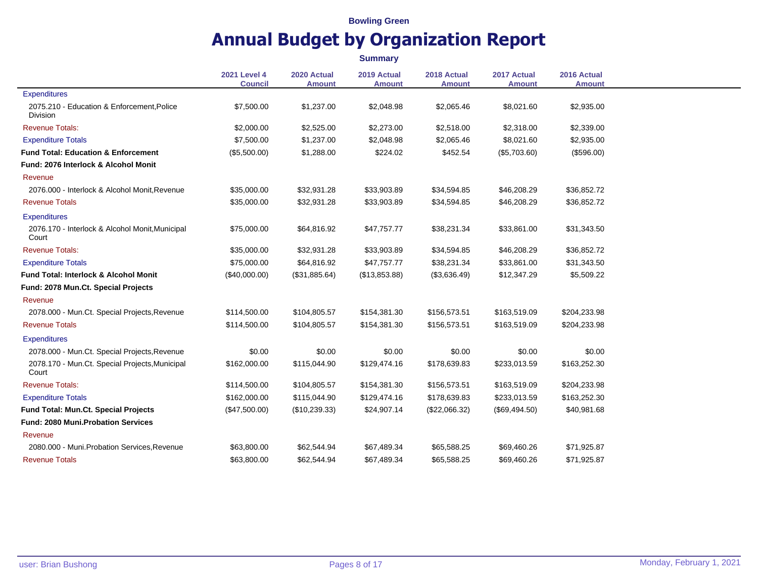|                                                               |                                       |                              | <b>Summary</b>               |                              |                              |                              |
|---------------------------------------------------------------|---------------------------------------|------------------------------|------------------------------|------------------------------|------------------------------|------------------------------|
|                                                               | <b>2021 Level 4</b><br><b>Council</b> | 2020 Actual<br><b>Amount</b> | 2019 Actual<br><b>Amount</b> | 2018 Actual<br><b>Amount</b> | 2017 Actual<br><b>Amount</b> | 2016 Actual<br><b>Amount</b> |
| Expenditures                                                  |                                       |                              |                              |                              |                              |                              |
| 2075.210 - Education & Enforcement, Police<br><b>Division</b> | \$7,500.00                            | \$1,237.00                   | \$2,048.98                   | \$2,065.46                   | \$8,021.60                   | \$2,935.00                   |
| <b>Revenue Totals:</b>                                        | \$2,000.00                            | \$2,525.00                   | \$2,273.00                   | \$2,518.00                   | \$2,318.00                   | \$2,339.00                   |
| <b>Expenditure Totals</b>                                     | \$7,500.00                            | \$1,237.00                   | \$2,048.98                   | \$2,065.46                   | \$8,021.60                   | \$2,935.00                   |
| <b>Fund Total: Education &amp; Enforcement</b>                | (\$5,500.00)                          | \$1,288.00                   | \$224.02                     | \$452.54                     | (\$5,703.60)                 | (\$596.00)                   |
| Fund: 2076 Interlock & Alcohol Monit                          |                                       |                              |                              |                              |                              |                              |
| Revenue                                                       |                                       |                              |                              |                              |                              |                              |
| 2076.000 - Interlock & Alcohol Monit, Revenue                 | \$35,000.00                           | \$32,931.28                  | \$33,903.89                  | \$34,594.85                  | \$46,208.29                  | \$36,852.72                  |
| <b>Revenue Totals</b>                                         | \$35,000.00                           | \$32,931.28                  | \$33,903.89                  | \$34,594.85                  | \$46,208.29                  | \$36,852.72                  |
| <b>Expenditures</b>                                           |                                       |                              |                              |                              |                              |                              |
| 2076.170 - Interlock & Alcohol Monit, Municipal<br>Court      | \$75,000.00                           | \$64,816.92                  | \$47,757.77                  | \$38,231.34                  | \$33,861.00                  | \$31,343.50                  |
| <b>Revenue Totals:</b>                                        | \$35,000.00                           | \$32,931.28                  | \$33,903.89                  | \$34,594.85                  | \$46,208.29                  | \$36,852.72                  |
| <b>Expenditure Totals</b>                                     | \$75,000.00                           | \$64,816.92                  | \$47,757.77                  | \$38,231.34                  | \$33,861.00                  | \$31,343.50                  |
| <b>Fund Total: Interlock &amp; Alcohol Monit</b>              | (\$40,000.00)                         | (\$31,885.64)                | (\$13,853.88)                | (\$3,636.49)                 | \$12,347.29                  | \$5,509.22                   |
| Fund: 2078 Mun.Ct. Special Projects                           |                                       |                              |                              |                              |                              |                              |
| Revenue                                                       |                                       |                              |                              |                              |                              |                              |
| 2078.000 - Mun.Ct. Special Projects, Revenue                  | \$114,500.00                          | \$104,805.57                 | \$154,381.30                 | \$156,573.51                 | \$163,519.09                 | \$204,233.98                 |
| <b>Revenue Totals</b>                                         | \$114,500.00                          | \$104,805.57                 | \$154,381.30                 | \$156,573.51                 | \$163,519.09                 | \$204,233.98                 |
| <b>Expenditures</b>                                           |                                       |                              |                              |                              |                              |                              |
| 2078.000 - Mun.Ct. Special Projects, Revenue                  | \$0.00                                | \$0.00                       | \$0.00                       | \$0.00                       | \$0.00                       | \$0.00                       |
| 2078.170 - Mun.Ct. Special Projects, Municipal<br>Court       | \$162,000.00                          | \$115,044.90                 | \$129,474.16                 | \$178,639.83                 | \$233,013.59                 | \$163,252.30                 |
| <b>Revenue Totals:</b>                                        | \$114,500.00                          | \$104,805.57                 | \$154,381.30                 | \$156,573.51                 | \$163,519.09                 | \$204,233.98                 |
| <b>Expenditure Totals</b>                                     | \$162,000.00                          | \$115,044.90                 | \$129,474.16                 | \$178,639.83                 | \$233,013.59                 | \$163,252.30                 |
| Fund Total: Mun.Ct. Special Projects                          | (\$47,500.00)                         | (\$10,239.33)                | \$24,907.14                  | (\$22,066.32)                | (\$69,494.50)                | \$40,981.68                  |
| <b>Fund: 2080 Muni.Probation Services</b>                     |                                       |                              |                              |                              |                              |                              |
| Revenue                                                       |                                       |                              |                              |                              |                              |                              |
| 2080.000 - Muni. Probation Services, Revenue                  | \$63,800.00                           | \$62,544.94                  | \$67,489.34                  | \$65,588.25                  | \$69,460.26                  | \$71,925.87                  |
| <b>Revenue Totals</b>                                         | \$63,800.00                           | \$62,544.94                  | \$67,489.34                  | \$65,588.25                  | \$69,460.26                  | \$71,925.87                  |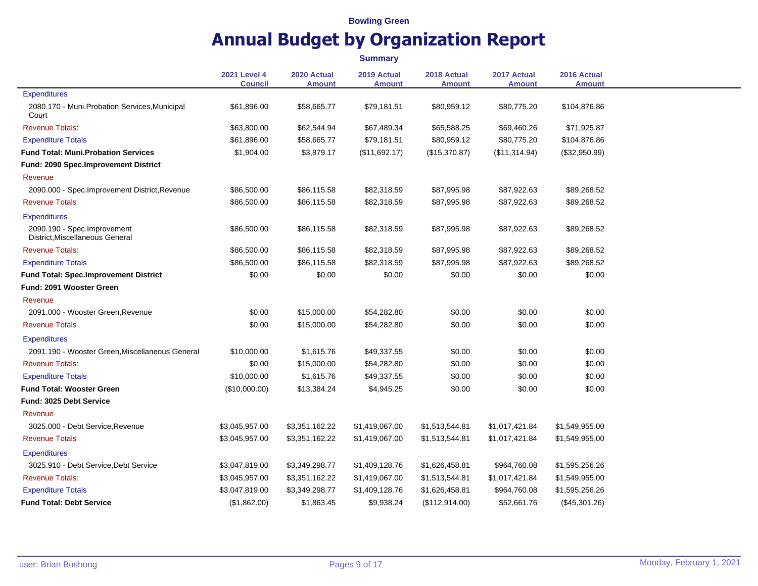|                                                                |                                       |                              | <b>Summary</b>               |                       |                              |                              |
|----------------------------------------------------------------|---------------------------------------|------------------------------|------------------------------|-----------------------|------------------------------|------------------------------|
|                                                                | <b>2021 Level 4</b><br><b>Council</b> | 2020 Actual<br><b>Amount</b> | 2019 Actual<br><b>Amount</b> | 2018 Actual<br>Amount | 2017 Actual<br><b>Amount</b> | 2016 Actual<br><b>Amount</b> |
| <b>Expenditures</b>                                            |                                       |                              |                              |                       |                              |                              |
| 2080.170 - Muni.Probation Services, Municipal<br>Court         | \$61,896.00                           | \$58,665.77                  | \$79,181.51                  | \$80,959.12           | \$80,775.20                  | \$104,876.86                 |
| <b>Revenue Totals:</b>                                         | \$63,800.00                           | \$62,544.94                  | \$67,489.34                  | \$65,588.25           | \$69,460.26                  | \$71,925.87                  |
| <b>Expenditure Totals</b>                                      | \$61,896.00                           | \$58,665.77                  | \$79,181.51                  | \$80,959.12           | \$80,775.20                  | \$104,876.86                 |
| <b>Fund Total: Muni.Probation Services</b>                     | \$1,904.00                            | \$3,879.17                   | (\$11,692.17)                | (\$15,370.87)         | (\$11,314.94)                | (\$32,950.99)                |
| <b>Fund: 2090 Spec.Improvement District</b>                    |                                       |                              |                              |                       |                              |                              |
| Revenue                                                        |                                       |                              |                              |                       |                              |                              |
| 2090.000 - Spec.Improvement District, Revenue                  | \$86,500.00                           | \$86,115.58                  | \$82,318.59                  | \$87,995.98           | \$87,922.63                  | \$89,268.52                  |
| <b>Revenue Totals</b>                                          | \$86,500.00                           | \$86,115.58                  | \$82,318.59                  | \$87,995.98           | \$87,922.63                  | \$89,268.52                  |
| <b>Expenditures</b>                                            |                                       |                              |                              |                       |                              |                              |
| 2090.190 - Spec.Improvement<br>District, Miscellaneous General | \$86,500.00                           | \$86,115.58                  | \$82,318.59                  | \$87,995.98           | \$87,922.63                  | \$89,268.52                  |
| <b>Revenue Totals:</b>                                         | \$86,500.00                           | \$86,115.58                  | \$82,318.59                  | \$87,995.98           | \$87,922.63                  | \$89,268.52                  |
| <b>Expenditure Totals</b>                                      | \$86,500.00                           | \$86,115.58                  | \$82,318.59                  | \$87,995.98           | \$87,922.63                  | \$89,268.52                  |
| <b>Fund Total: Spec.Improvement District</b>                   | \$0.00                                | \$0.00                       | \$0.00                       | \$0.00                | \$0.00                       | \$0.00                       |
| Fund: 2091 Wooster Green                                       |                                       |                              |                              |                       |                              |                              |
| Revenue                                                        |                                       |                              |                              |                       |                              |                              |
| 2091.000 - Wooster Green, Revenue                              | \$0.00                                | \$15,000.00                  | \$54,282.80                  | \$0.00                | \$0.00                       | \$0.00                       |
| <b>Revenue Totals</b>                                          | \$0.00                                | \$15,000.00                  | \$54,282.80                  | \$0.00                | \$0.00                       | \$0.00                       |
| <b>Expenditures</b>                                            |                                       |                              |                              |                       |                              |                              |
| 2091.190 - Wooster Green, Miscellaneous General                | \$10,000.00                           | \$1,615.76                   | \$49,337.55                  | \$0.00                | \$0.00                       | \$0.00                       |
| <b>Revenue Totals:</b>                                         | \$0.00                                | \$15,000.00                  | \$54,282.80                  | \$0.00                | \$0.00                       | \$0.00                       |
| <b>Expenditure Totals</b>                                      | \$10,000.00                           | \$1,615.76                   | \$49,337.55                  | \$0.00                | \$0.00                       | \$0.00                       |
| <b>Fund Total: Wooster Green</b>                               | (\$10,000.00)                         | \$13,384.24                  | \$4,945.25                   | \$0.00                | \$0.00                       | \$0.00                       |
| Fund: 3025 Debt Service                                        |                                       |                              |                              |                       |                              |                              |
| Revenue                                                        |                                       |                              |                              |                       |                              |                              |
| 3025.000 - Debt Service, Revenue                               | \$3,045,957.00                        | \$3,351,162.22               | \$1,419,067.00               | \$1,513,544.81        | \$1,017,421.84               | \$1,549,955.00               |
| <b>Revenue Totals</b>                                          | \$3,045,957.00                        | \$3,351,162.22               | \$1,419,067.00               | \$1,513,544.81        | \$1,017,421.84               | \$1,549,955.00               |
| <b>Expenditures</b>                                            |                                       |                              |                              |                       |                              |                              |
| 3025.910 - Debt Service, Debt Service                          | \$3,047,819.00                        | \$3,349,298.77               | \$1,409,128.76               | \$1,626,458.81        | \$964,760.08                 | \$1,595,256.26               |
| <b>Revenue Totals:</b>                                         | \$3,045,957.00                        | \$3,351,162.22               | \$1,419,067.00               | \$1,513,544.81        | \$1,017,421.84               | \$1,549,955.00               |
| <b>Expenditure Totals</b>                                      | \$3,047,819.00                        | \$3,349,298.77               | \$1,409,128.76               | \$1,626,458.81        | \$964,760.08                 | \$1,595,256.26               |
| <b>Fund Total: Debt Service</b>                                | (\$1,862.00)                          | \$1,863.45                   | \$9,938.24                   | (\$112,914.00)        | \$52,661.76                  | (\$45,301.26)                |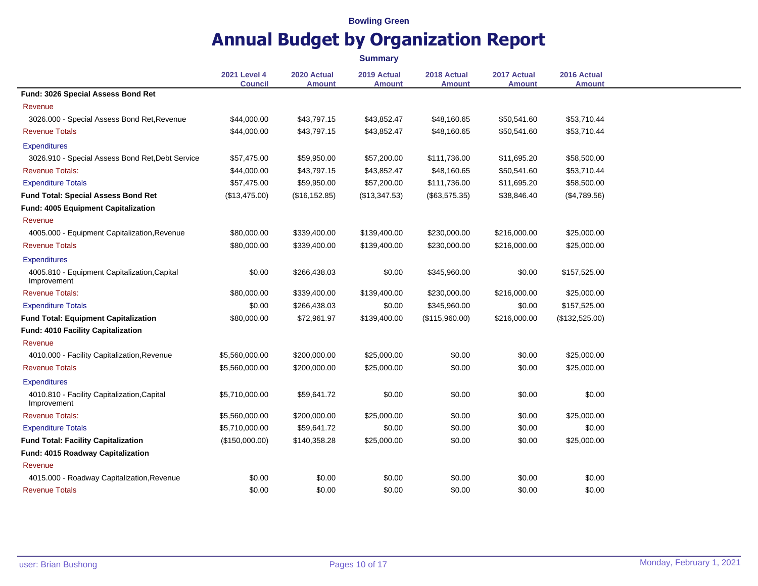|                                                             |                                       |                              | <b>Summary</b>               |                              |                              |                              |
|-------------------------------------------------------------|---------------------------------------|------------------------------|------------------------------|------------------------------|------------------------------|------------------------------|
|                                                             | <b>2021 Level 4</b><br><b>Council</b> | 2020 Actual<br><b>Amount</b> | 2019 Actual<br><b>Amount</b> | 2018 Actual<br><b>Amount</b> | 2017 Actual<br><b>Amount</b> | 2016 Actual<br><b>Amount</b> |
| Fund: 3026 Special Assess Bond Ret                          |                                       |                              |                              |                              |                              |                              |
| Revenue                                                     |                                       |                              |                              |                              |                              |                              |
| 3026.000 - Special Assess Bond Ret, Revenue                 | \$44,000.00                           | \$43,797.15                  | \$43,852.47                  | \$48,160.65                  | \$50,541.60                  | \$53,710.44                  |
| <b>Revenue Totals</b>                                       | \$44,000.00                           | \$43,797.15                  | \$43,852.47                  | \$48,160.65                  | \$50,541.60                  | \$53,710.44                  |
| <b>Expenditures</b>                                         |                                       |                              |                              |                              |                              |                              |
| 3026.910 - Special Assess Bond Ret, Debt Service            | \$57,475.00                           | \$59,950.00                  | \$57,200.00                  | \$111,736.00                 | \$11,695.20                  | \$58,500.00                  |
| <b>Revenue Totals:</b>                                      | \$44,000.00                           | \$43,797.15                  | \$43,852.47                  | \$48,160.65                  | \$50,541.60                  | \$53,710.44                  |
| <b>Expenditure Totals</b>                                   | \$57,475.00                           | \$59,950.00                  | \$57,200.00                  | \$111,736.00                 | \$11,695.20                  | \$58,500.00                  |
| <b>Fund Total: Special Assess Bond Ret</b>                  | (\$13,475.00)                         | (\$16, 152.85)               | (\$13,347.53)                | $(\$63,575.35)$              | \$38,846.40                  | (\$4,789.56)                 |
| Fund: 4005 Equipment Capitalization                         |                                       |                              |                              |                              |                              |                              |
| Revenue                                                     |                                       |                              |                              |                              |                              |                              |
| 4005.000 - Equipment Capitalization, Revenue                | \$80,000.00                           | \$339,400.00                 | \$139,400.00                 | \$230,000.00                 | \$216,000.00                 | \$25,000.00                  |
| <b>Revenue Totals</b>                                       | \$80,000.00                           | \$339,400.00                 | \$139,400.00                 | \$230,000.00                 | \$216,000.00                 | \$25,000.00                  |
| <b>Expenditures</b>                                         |                                       |                              |                              |                              |                              |                              |
| 4005.810 - Equipment Capitalization, Capital<br>Improvement | \$0.00                                | \$266,438.03                 | \$0.00                       | \$345,960.00                 | \$0.00                       | \$157,525.00                 |
| <b>Revenue Totals:</b>                                      | \$80,000.00                           | \$339,400.00                 | \$139,400.00                 | \$230,000.00                 | \$216,000.00                 | \$25,000.00                  |
| <b>Expenditure Totals</b>                                   | \$0.00                                | \$266,438.03                 | \$0.00                       | \$345,960.00                 | \$0.00                       | \$157,525.00                 |
| <b>Fund Total: Equipment Capitalization</b>                 | \$80,000.00                           | \$72,961.97                  | \$139,400.00                 | (\$115,960.00)               | \$216,000.00                 | (\$132,525.00)               |
| Fund: 4010 Facility Capitalization                          |                                       |                              |                              |                              |                              |                              |
| Revenue                                                     |                                       |                              |                              |                              |                              |                              |
| 4010.000 - Facility Capitalization, Revenue                 | \$5,560,000.00                        | \$200,000.00                 | \$25,000.00                  | \$0.00                       | \$0.00                       | \$25,000.00                  |
| <b>Revenue Totals</b>                                       | \$5,560,000.00                        | \$200,000.00                 | \$25,000.00                  | \$0.00                       | \$0.00                       | \$25,000.00                  |
| <b>Expenditures</b>                                         |                                       |                              |                              |                              |                              |                              |
| 4010.810 - Facility Capitalization, Capital<br>Improvement  | \$5,710,000.00                        | \$59,641.72                  | \$0.00                       | \$0.00                       | \$0.00                       | \$0.00                       |
| <b>Revenue Totals:</b>                                      | \$5,560,000.00                        | \$200,000.00                 | \$25,000.00                  | \$0.00                       | \$0.00                       | \$25,000.00                  |
| <b>Expenditure Totals</b>                                   | \$5,710,000.00                        | \$59,641.72                  | \$0.00                       | \$0.00                       | \$0.00                       | \$0.00                       |
| <b>Fund Total: Facility Capitalization</b>                  | (\$150,000.00)                        | \$140,358.28                 | \$25,000.00                  | \$0.00                       | \$0.00                       | \$25,000.00                  |
| Fund: 4015 Roadway Capitalization                           |                                       |                              |                              |                              |                              |                              |
| Revenue                                                     |                                       |                              |                              |                              |                              |                              |
| 4015.000 - Roadway Capitalization, Revenue                  | \$0.00                                | \$0.00                       | \$0.00                       | \$0.00                       | \$0.00                       | \$0.00                       |
| <b>Revenue Totals</b>                                       | \$0.00                                | \$0.00                       | \$0.00                       | \$0.00                       | \$0.00                       | \$0.00                       |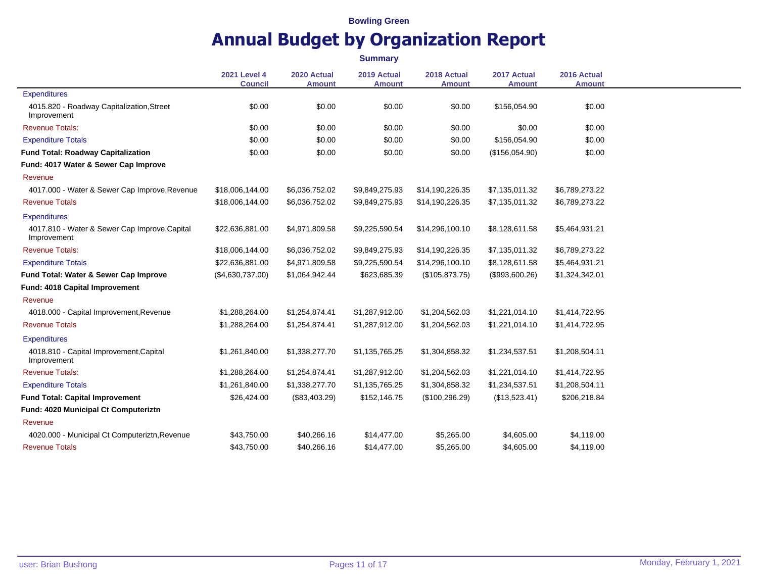|                                                              | <b>Summary</b>                        |                              |                              |                              |                              |                              |  |  |
|--------------------------------------------------------------|---------------------------------------|------------------------------|------------------------------|------------------------------|------------------------------|------------------------------|--|--|
|                                                              | <b>2021 Level 4</b><br><b>Council</b> | 2020 Actual<br><b>Amount</b> | 2019 Actual<br><b>Amount</b> | 2018 Actual<br><b>Amount</b> | 2017 Actual<br><b>Amount</b> | 2016 Actual<br><b>Amount</b> |  |  |
| <b>Expenditures</b>                                          |                                       |                              |                              |                              |                              |                              |  |  |
| 4015.820 - Roadway Capitalization, Street<br>Improvement     | \$0.00                                | \$0.00                       | \$0.00                       | \$0.00                       | \$156,054.90                 | \$0.00                       |  |  |
| <b>Revenue Totals:</b>                                       | \$0.00                                | \$0.00                       | \$0.00                       | \$0.00                       | \$0.00                       | \$0.00                       |  |  |
| <b>Expenditure Totals</b>                                    | \$0.00                                | \$0.00                       | \$0.00                       | \$0.00                       | \$156,054.90                 | \$0.00                       |  |  |
| <b>Fund Total: Roadway Capitalization</b>                    | \$0.00                                | \$0.00                       | \$0.00                       | \$0.00                       | (\$156,054.90)               | \$0.00                       |  |  |
| Fund: 4017 Water & Sewer Cap Improve                         |                                       |                              |                              |                              |                              |                              |  |  |
| Revenue                                                      |                                       |                              |                              |                              |                              |                              |  |  |
| 4017.000 - Water & Sewer Cap Improve, Revenue                | \$18,006,144.00                       | \$6,036,752.02               | \$9,849,275.93               | \$14,190,226.35              | \$7,135,011.32               | \$6,789,273.22               |  |  |
| <b>Revenue Totals</b>                                        | \$18,006,144.00                       | \$6,036,752.02               | \$9,849,275.93               | \$14,190,226.35              | \$7,135,011.32               | \$6,789,273.22               |  |  |
| <b>Expenditures</b>                                          |                                       |                              |                              |                              |                              |                              |  |  |
| 4017.810 - Water & Sewer Cap Improve, Capital<br>Improvement | \$22,636,881.00                       | \$4,971,809.58               | \$9,225,590.54               | \$14,296,100.10              | \$8,128,611.58               | \$5,464,931.21               |  |  |
| <b>Revenue Totals:</b>                                       | \$18,006,144.00                       | \$6,036,752.02               | \$9,849,275.93               | \$14,190,226.35              | \$7,135,011.32               | \$6,789,273.22               |  |  |
| <b>Expenditure Totals</b>                                    | \$22,636,881.00                       | \$4,971,809.58               | \$9,225,590.54               | \$14,296,100.10              | \$8,128,611.58               | \$5,464,931.21               |  |  |
| Fund Total: Water & Sewer Cap Improve                        | (\$4,630,737.00)                      | \$1,064,942.44               | \$623,685.39                 | (\$105,873.75)               | (\$993,600.26)               | \$1,324,342.01               |  |  |
| Fund: 4018 Capital Improvement                               |                                       |                              |                              |                              |                              |                              |  |  |
| Revenue                                                      |                                       |                              |                              |                              |                              |                              |  |  |
| 4018.000 - Capital Improvement, Revenue                      | \$1,288,264.00                        | \$1,254,874.41               | \$1,287,912.00               | \$1,204,562.03               | \$1,221,014.10               | \$1,414,722.95               |  |  |
| <b>Revenue Totals</b>                                        | \$1,288,264.00                        | \$1,254,874.41               | \$1,287,912.00               | \$1,204,562.03               | \$1,221,014.10               | \$1,414,722.95               |  |  |
| <b>Expenditures</b>                                          |                                       |                              |                              |                              |                              |                              |  |  |
| 4018.810 - Capital Improvement, Capital<br>Improvement       | \$1,261,840.00                        | \$1,338,277.70               | \$1,135,765.25               | \$1,304,858.32               | \$1,234,537.51               | \$1,208,504.11               |  |  |
| <b>Revenue Totals:</b>                                       | \$1,288,264.00                        | \$1,254,874.41               | \$1,287,912.00               | \$1,204,562.03               | \$1,221,014.10               | \$1,414,722.95               |  |  |
| <b>Expenditure Totals</b>                                    | \$1,261,840.00                        | \$1,338,277.70               | \$1,135,765.25               | \$1,304,858.32               | \$1,234,537.51               | \$1,208,504.11               |  |  |
| <b>Fund Total: Capital Improvement</b>                       | \$26,424.00                           | (\$83,403.29)                | \$152,146.75                 | (\$100, 296.29)              | (\$13,523.41)                | \$206,218.84                 |  |  |
| Fund: 4020 Municipal Ct Computeriztn                         |                                       |                              |                              |                              |                              |                              |  |  |
| Revenue                                                      |                                       |                              |                              |                              |                              |                              |  |  |
| 4020.000 - Municipal Ct Computeriztn, Revenue                | \$43,750.00                           | \$40,266.16                  | \$14,477.00                  | \$5,265.00                   | \$4,605.00                   | \$4,119.00                   |  |  |
| <b>Revenue Totals</b>                                        | \$43,750.00                           | \$40,266.16                  | \$14,477.00                  | \$5,265.00                   | \$4,605.00                   | \$4,119.00                   |  |  |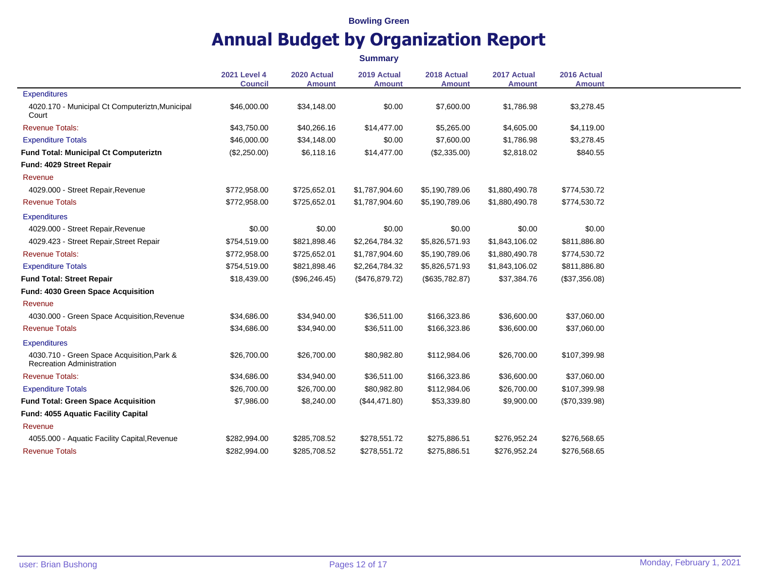**2021 Level 4 Council 2020 Actual Amount 2019 Actual Amount 2018 Actual Amount 2017 Actual Amount 2016 Actual Amount Expenditures** 4020.170 - Municipal Ct Computeriztn,Municipal Court \$46,000.00 \$34,148.00 \$0.00 \$7,600.00 \$1,786.98 \$3,278.45 Revenue Totals: \$43,750.00 \$40,266.16 \$14,477.00 \$5,265.00 \$4,605.00 \$4,119.00 Expenditure Totals \$46,000.00 \$34,148.00 \$0.00 \$7,600.00 \$1,786.98 \$3,278.45 **Fund Total: Municipal Ct Computeriztn** (\$2,250.00) \$6,118.16 \$14,477.00 (\$2,335.00) \$2,818.02 \$840.55 **Fund: 4029 Street Repair** Revenue 4029.000 - Street Repair,Revenue \$772,958.00 \$725,652.01 \$1,787,904.60 \$5,190,789.06 \$1,880,490.78 \$774,530.72 Revenue Totals \$772,958.00 \$725,652.01 \$1,787,904.60 \$5,190,789.06 \$1,880,490.78 \$774,530.72 **Expenditures** 4029.000 - Street Repair,Revenue \$0.00 \$0.00 \$0.00 \$0.00 \$0.00 \$0.00 4029.423 - Street Repair,Street Repair \$754,519.00 \$821,898.46 \$2,264,784.32 \$5,826,571.93 \$1,843,106.02 \$811,886.80 Revenue Totals: \$772,958.00 \$725,652.01 \$1,787,904.60 \$5,190,789.06 \$1,880,490.78 \$774,530.72 Expenditure Totals \$754,519.00 \$821,898.46 \$2,264,784.32 \$5,826,571.93 \$1,843,106.02 \$811,886.80 **Fund Total: Street Repair** \$18,439.00 (\$96,246.45) (\$476,879.72) (\$635,782.87) \$37,384.76 (\$37,356.08) **Fund: 4030 Green Space Acquisition** Revenue 4030.000 - Green Space Acquisition,Revenue \$34,686.00 \$34,940.00 \$36,511.00 \$166,323.86 \$36,600.00 \$37,060.00 Revenue Totals \$34,686.00 \$34,940.00 \$36,511.00 \$166,323.86 \$36,600.00 \$37,060.00 **Expenditures** 4030.710 - Green Space Acquisition,Park & Recreation Administration \$26,700.00 \$26,700.00 \$80,982.80 \$112,984.06 \$26,700.00 \$107,399.98 Revenue Totals: \$34,686.00 \$34,940.00 \$36,511.00 \$166,323.86 \$36,600.00 \$37,060.00 Expenditure Totals **6.2000** \$26,700.00 \$26,700.00 \$26,700.00 \$80,982.80 \$112,984.06 \$26,700.00 \$107,399.98 **Fund Total: Green Space Acquisition**  $$7,986.00$   $$8,240.00$   $$44,471.80$   $$53,339.80$   $$9,900.00$   $$70,339.98$ **Fund: 4055 Aquatic Facility Capital** Revenue 4055.000 - Aquatic Facility Capital,Revenue \$282,994.00 \$285,708.52 \$278,551.72 \$275,886.51 \$276,952.24 \$276,568.65 Revenue Totals \$282,994.00 \$285,708.52 \$278,551.72 \$275,886.51 \$276,952.24 \$276,568.65 **Summary**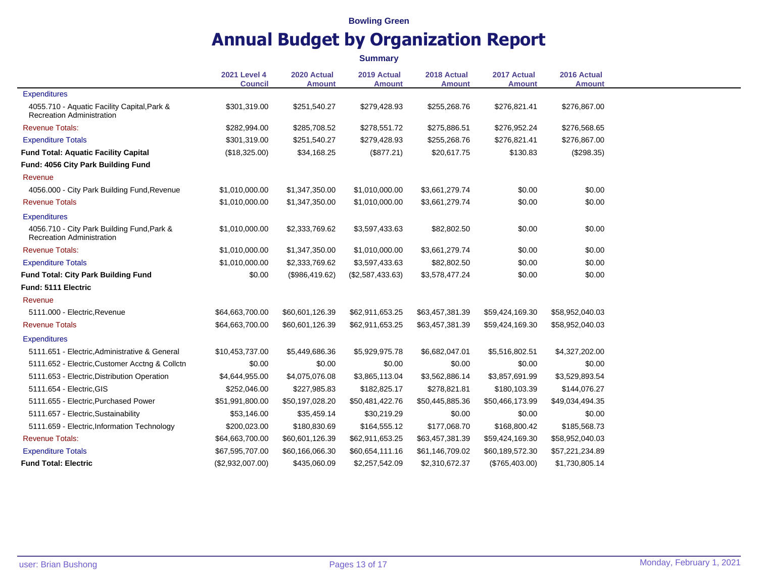|                                                                                 |                                       |                              | <b>Summary</b>               |                              |                              |                              |
|---------------------------------------------------------------------------------|---------------------------------------|------------------------------|------------------------------|------------------------------|------------------------------|------------------------------|
|                                                                                 | <b>2021 Level 4</b><br><b>Council</b> | 2020 Actual<br><b>Amount</b> | 2019 Actual<br><b>Amount</b> | 2018 Actual<br><b>Amount</b> | 2017 Actual<br><b>Amount</b> | 2016 Actual<br><b>Amount</b> |
| <b>Expenditures</b>                                                             |                                       |                              |                              |                              |                              |                              |
| 4055.710 - Aquatic Facility Capital, Park &<br><b>Recreation Administration</b> | \$301,319.00                          | \$251,540.27                 | \$279,428.93                 | \$255,268.76                 | \$276,821.41                 | \$276,867.00                 |
| <b>Revenue Totals:</b>                                                          | \$282,994.00                          | \$285,708.52                 | \$278,551.72                 | \$275,886.51                 | \$276,952.24                 | \$276,568.65                 |
| <b>Expenditure Totals</b>                                                       | \$301,319.00                          | \$251,540.27                 | \$279,428.93                 | \$255,268.76                 | \$276,821.41                 | \$276,867.00                 |
| <b>Fund Total: Aquatic Facility Capital</b>                                     | (\$18,325.00)                         | \$34,168.25                  | (\$877.21)                   | \$20,617.75                  | \$130.83                     | $(\$298.35)$                 |
| Fund: 4056 City Park Building Fund                                              |                                       |                              |                              |                              |                              |                              |
| Revenue                                                                         |                                       |                              |                              |                              |                              |                              |
| 4056.000 - City Park Building Fund, Revenue                                     | \$1,010,000.00                        | \$1,347,350.00               | \$1,010,000.00               | \$3,661,279.74               | \$0.00                       | \$0.00                       |
| <b>Revenue Totals</b>                                                           | \$1,010,000.00                        | \$1,347,350.00               | \$1,010,000.00               | \$3,661,279.74               | \$0.00                       | \$0.00                       |
| <b>Expenditures</b>                                                             |                                       |                              |                              |                              |                              |                              |
| 4056.710 - City Park Building Fund, Park &<br><b>Recreation Administration</b>  | \$1,010,000.00                        | \$2,333,769.62               | \$3,597,433.63               | \$82,802.50                  | \$0.00                       | \$0.00                       |
| <b>Revenue Totals:</b>                                                          | \$1,010,000.00                        | \$1,347,350.00               | \$1,010,000.00               | \$3,661,279.74               | \$0.00                       | \$0.00                       |
| <b>Expenditure Totals</b>                                                       | \$1,010,000.00                        | \$2,333,769.62               | \$3,597,433.63               | \$82,802.50                  | \$0.00                       | \$0.00                       |
| <b>Fund Total: City Park Building Fund</b>                                      | \$0.00                                | (\$986,419.62)               | (\$2,587,433.63)             | \$3,578,477.24               | \$0.00                       | \$0.00                       |
| Fund: 5111 Electric                                                             |                                       |                              |                              |                              |                              |                              |
| Revenue                                                                         |                                       |                              |                              |                              |                              |                              |
| 5111.000 - Electric, Revenue                                                    | \$64,663,700.00                       | \$60,601,126.39              | \$62,911,653.25              | \$63,457,381.39              | \$59,424,169.30              | \$58,952,040.03              |
| <b>Revenue Totals</b>                                                           | \$64,663,700.00                       | \$60,601,126.39              | \$62,911,653.25              | \$63,457,381.39              | \$59,424,169.30              | \$58,952,040.03              |
| <b>Expenditures</b>                                                             |                                       |                              |                              |                              |                              |                              |
| 5111.651 - Electric, Administrative & General                                   | \$10,453,737.00                       | \$5,449,686.36               | \$5,929,975.78               | \$6,682,047.01               | \$5,516,802.51               | \$4,327,202.00               |
| 5111.652 - Electric, Customer Acctng & Collctn                                  | \$0.00                                | \$0.00                       | \$0.00                       | \$0.00                       | \$0.00                       | \$0.00                       |
| 5111.653 - Electric, Distribution Operation                                     | \$4,644,955.00                        | \$4,075,076.08               | \$3,865,113.04               | \$3,562,886.14               | \$3,857,691.99               | \$3,529,893.54               |
| 5111.654 - Electric, GIS                                                        | \$252,046.00                          | \$227,985.83                 | \$182,825.17                 | \$278,821.81                 | \$180,103.39                 | \$144,076.27                 |
| 5111.655 - Electric, Purchased Power                                            | \$51,991,800.00                       | \$50,197,028.20              | \$50,481,422.76              | \$50,445,885.36              | \$50,466,173.99              | \$49,034,494.35              |
| 5111.657 - Electric, Sustainability                                             | \$53,146.00                           | \$35,459.14                  | \$30,219.29                  | \$0.00                       | \$0.00                       | \$0.00                       |
| 5111.659 - Electric, Information Technology                                     | \$200,023.00                          | \$180,830.69                 | \$164,555.12                 | \$177,068.70                 | \$168,800.42                 | \$185,568.73                 |
| <b>Revenue Totals:</b>                                                          | \$64,663,700.00                       | \$60,601,126.39              | \$62,911,653.25              | \$63,457,381.39              | \$59,424,169.30              | \$58,952,040.03              |
| <b>Expenditure Totals</b>                                                       | \$67,595,707.00                       | \$60,166,066.30              | \$60,654,111.16              | \$61,146,709.02              | \$60,189,572.30              | \$57,221,234.89              |
| <b>Fund Total: Electric</b>                                                     | (\$2,932,007.00)                      | \$435,060.09                 | \$2,257,542.09               | \$2,310,672.37               | (\$765,403.00)               | \$1,730,805.14               |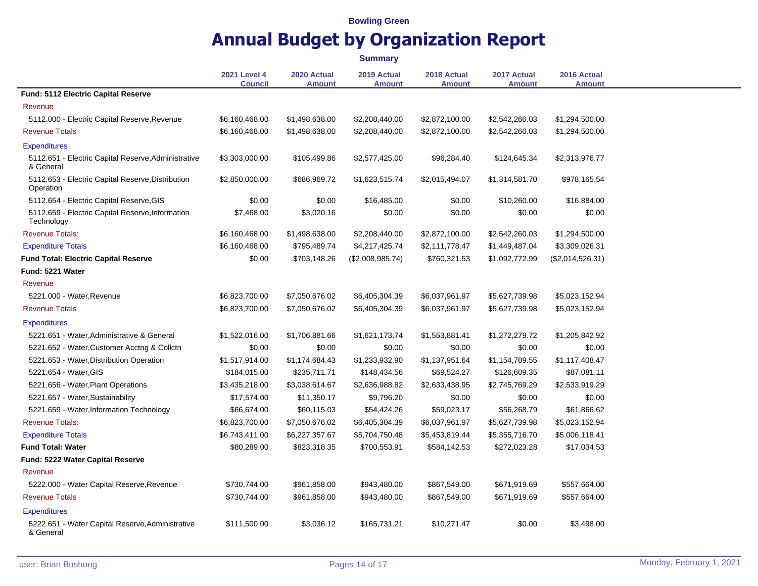|                                                                  |                                       |                              | <b>Summary</b>               |                              |                              |                              |
|------------------------------------------------------------------|---------------------------------------|------------------------------|------------------------------|------------------------------|------------------------------|------------------------------|
|                                                                  | <b>2021 Level 4</b><br><b>Council</b> | 2020 Actual<br><b>Amount</b> | 2019 Actual<br><b>Amount</b> | 2018 Actual<br><b>Amount</b> | 2017 Actual<br><b>Amount</b> | 2016 Actual<br><b>Amount</b> |
| <b>Fund: 5112 Electric Capital Reserve</b>                       |                                       |                              |                              |                              |                              |                              |
| Revenue                                                          |                                       |                              |                              |                              |                              |                              |
| 5112.000 - Electric Capital Reserve, Revenue                     | \$6,160,468.00                        | \$1,498,638.00               | \$2,208,440.00               | \$2,872,100.00               | \$2,542,260.03               | \$1,294,500.00               |
| <b>Revenue Totals</b>                                            | \$6,160,468.00                        | \$1,498,638.00               | \$2,208,440.00               | \$2,872,100.00               | \$2,542,260.03               | \$1,294,500.00               |
| <b>Expenditures</b>                                              |                                       |                              |                              |                              |                              |                              |
| 5112.651 - Electric Capital Reserve, Administrative<br>& General | \$3,303,000.00                        | \$105,499.86                 | \$2,577,425.00               | \$96,284.40                  | \$124,645.34                 | \$2,313,976.77               |
| 5112.653 - Electric Capital Reserve, Distribution<br>Operation   | \$2,850,000.00                        | \$686,969.72                 | \$1,623,515.74               | \$2,015,494.07               | \$1,314,581.70               | \$978,165.54                 |
| 5112.654 - Electric Capital Reserve, GIS                         | \$0.00                                | \$0.00                       | \$16,485.00                  | \$0.00                       | \$10,260.00                  | \$16,884.00                  |
| 5112.659 - Electric Capital Reserve, Information<br>Technology   | \$7,468.00                            | \$3,020.16                   | \$0.00                       | \$0.00                       | \$0.00                       | \$0.00                       |
| <b>Revenue Totals:</b>                                           | \$6,160,468.00                        | \$1,498,638.00               | \$2,208,440.00               | \$2,872,100.00               | \$2,542,260.03               | \$1,294,500.00               |
| <b>Expenditure Totals</b>                                        | \$6,160,468.00                        | \$795,489.74                 | \$4,217,425.74               | \$2,111,778.47               | \$1,449,487.04               | \$3,309,026.31               |
| <b>Fund Total: Electric Capital Reserve</b>                      | \$0.00                                | \$703,148.26                 | (\$2,008,985.74)             | \$760,321.53                 | \$1,092,772.99               | (\$2,014,526.31)             |
| Fund: 5221 Water                                                 |                                       |                              |                              |                              |                              |                              |
| Revenue                                                          |                                       |                              |                              |                              |                              |                              |
| 5221.000 - Water, Revenue                                        | \$6,823,700.00                        | \$7,050,676.02               | \$6,405,304.39               | \$6,037,961.97               | \$5,627,739.98               | \$5,023,152.94               |
| <b>Revenue Totals</b>                                            | \$6,823,700.00                        | \$7,050,676.02               | \$6,405,304.39               | \$6,037,961.97               | \$5,627,739.98               | \$5,023,152.94               |
| <b>Expenditures</b>                                              |                                       |                              |                              |                              |                              |                              |
| 5221.651 - Water, Administrative & General                       | \$1,522,016.00                        | \$1,706,881.66               | \$1,621,173.74               | \$1,553,881.41               | \$1,272,279.72               | \$1,205,842.92               |
| 5221.652 - Water, Customer Acctng & Collctn                      | \$0.00                                | \$0.00                       | \$0.00                       | \$0.00                       | \$0.00                       | \$0.00                       |
| 5221.653 - Water, Distribution Operation                         | \$1,517,914.00                        | \$1,174,684.43               | \$1,233,932.90               | \$1,137,951.64               | \$1,154,789.55               | \$1,117,408.47               |
| 5221.654 - Water, GIS                                            | \$184,015.00                          | \$235,711.71                 | \$148,434.56                 | \$69,524.27                  | \$126,609.35                 | \$87,081.11                  |
| 5221.656 - Water, Plant Operations                               | \$3,435,218.00                        | \$3,038,614.67               | \$2,636,988.82               | \$2,633,438.95               | \$2,745,769.29               | \$2,533,919.29               |
| 5221.657 - Water, Sustainability                                 | \$17,574.00                           | \$11,350.17                  | \$9,796.20                   | \$0.00                       | \$0.00                       | \$0.00                       |
| 5221.659 - Water, Information Technology                         | \$66,674.00                           | \$60,115.03                  | \$54,424.26                  | \$59,023.17                  | \$56,268.79                  | \$61,866.62                  |
| <b>Revenue Totals:</b>                                           | \$6,823,700.00                        | \$7,050,676.02               | \$6,405,304.39               | \$6,037,961.97               | \$5,627,739.98               | \$5,023,152.94               |
| <b>Expenditure Totals</b>                                        | \$6,743,411.00                        | \$6,227,357.67               | \$5,704,750.48               | \$5,453,819.44               | \$5,355,716.70               | \$5,006,118.41               |
| <b>Fund Total: Water</b>                                         | \$80,289.00                           | \$823,318.35                 | \$700,553.91                 | \$584,142.53                 | \$272,023.28                 | \$17,034.53                  |
| Fund: 5222 Water Capital Reserve                                 |                                       |                              |                              |                              |                              |                              |
| Revenue                                                          |                                       |                              |                              |                              |                              |                              |
| 5222.000 - Water Capital Reserve, Revenue                        | \$730,744.00                          | \$961,858.00                 | \$943,480.00                 | \$867,549.00                 | \$671,919.69                 | \$557,664.00                 |
| <b>Revenue Totals</b>                                            | \$730,744.00                          | \$961,858.00                 | \$943,480.00                 | \$867,549.00                 | \$671,919.69                 | \$557,664.00                 |
| <b>Expenditures</b>                                              |                                       |                              |                              |                              |                              |                              |
| 5222.651 - Water Capital Reserve, Administrative<br>& General    | \$111,500.00                          | \$3,036.12                   | \$165,731.21                 | \$10,271.47                  | \$0.00                       | \$3,498.00                   |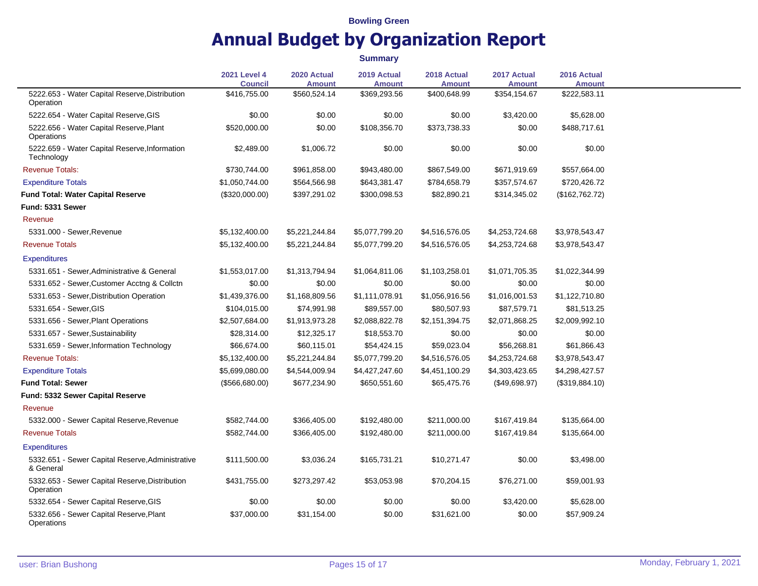**Summary**

|                                                               | <b>2021 Level 4</b><br><b>Council</b> | 2020 Actual<br><b>Amount</b> | 2019 Actual<br><b>Amount</b> | 2018 Actual<br><b>Amount</b> | 2017 Actual<br><b>Amount</b> | 2016 Actual<br><b>Amount</b> |
|---------------------------------------------------------------|---------------------------------------|------------------------------|------------------------------|------------------------------|------------------------------|------------------------------|
| 5222.653 - Water Capital Reserve, Distribution<br>Operation   | \$416,755.00                          | \$560,524.14                 | \$369,293.56                 | \$400,648.99                 | \$354,154.67                 | \$222,583.11                 |
| 5222.654 - Water Capital Reserve, GIS                         | \$0.00                                | \$0.00                       | \$0.00                       | \$0.00                       | \$3,420.00                   | \$5,628.00                   |
| 5222.656 - Water Capital Reserve, Plant<br>Operations         | \$520,000.00                          | \$0.00                       | \$108,356.70                 | \$373,738.33                 | \$0.00                       | \$488,717.61                 |
| 5222.659 - Water Capital Reserve, Information<br>Technology   | \$2,489.00                            | \$1,006.72                   | \$0.00                       | \$0.00                       | \$0.00                       | \$0.00                       |
| <b>Revenue Totals:</b>                                        | \$730,744.00                          | \$961,858.00                 | \$943,480.00                 | \$867,549.00                 | \$671,919.69                 | \$557,664.00                 |
| <b>Expenditure Totals</b>                                     | \$1,050,744.00                        | \$564,566.98                 | \$643,381.47                 | \$784,658.79                 | \$357,574.67                 | \$720,426.72                 |
| <b>Fund Total: Water Capital Reserve</b>                      | (\$320,000.00)                        | \$397,291.02                 | \$300,098.53                 | \$82,890.21                  | \$314,345.02                 | (\$162,762.72)               |
| Fund: 5331 Sewer                                              |                                       |                              |                              |                              |                              |                              |
| Revenue                                                       |                                       |                              |                              |                              |                              |                              |
| 5331.000 - Sewer, Revenue                                     | \$5,132,400.00                        | \$5,221,244.84               | \$5,077,799.20               | \$4,516,576.05               | \$4,253,724.68               | \$3,978,543.47               |
| <b>Revenue Totals</b>                                         | \$5,132,400.00                        | \$5,221,244.84               | \$5,077,799.20               | \$4,516,576.05               | \$4,253,724.68               | \$3,978,543.47               |
| <b>Expenditures</b>                                           |                                       |                              |                              |                              |                              |                              |
| 5331.651 - Sewer, Administrative & General                    | \$1,553,017.00                        | \$1,313,794.94               | \$1,064,811.06               | \$1,103,258.01               | \$1,071,705.35               | \$1,022,344.99               |
| 5331.652 - Sewer, Customer Acctng & Collctn                   | \$0.00                                | \$0.00                       | \$0.00                       | \$0.00                       | \$0.00                       | \$0.00                       |
| 5331.653 - Sewer, Distribution Operation                      | \$1,439,376.00                        | \$1,168,809.56               | \$1,111,078.91               | \$1,056,916.56               | \$1,016,001.53               | \$1,122,710.80               |
| 5331.654 - Sewer, GIS                                         | \$104,015.00                          | \$74,991.98                  | \$89,557.00                  | \$80,507.93                  | \$87,579.71                  | \$81,513.25                  |
| 5331.656 - Sewer, Plant Operations                            | \$2,507,684.00                        | \$1,913,973.28               | \$2,088,822.78               | \$2,151,394.75               | \$2,071,868.25               | \$2,009,992.10               |
| 5331.657 - Sewer, Sustainability                              | \$28,314.00                           | \$12,325.17                  | \$18,553.70                  | \$0.00                       | \$0.00                       | \$0.00                       |
| 5331.659 - Sewer, Information Technology                      | \$66,674.00                           | \$60,115.01                  | \$54,424.15                  | \$59,023.04                  | \$56,268.81                  | \$61,866.43                  |
| <b>Revenue Totals:</b>                                        | \$5,132,400.00                        | \$5,221,244.84               | \$5,077,799.20               | \$4,516,576.05               | \$4,253,724.68               | \$3,978,543.47               |
| <b>Expenditure Totals</b>                                     | \$5,699,080.00                        | \$4,544,009.94               | \$4,427,247.60               | \$4,451,100.29               | \$4,303,423.65               | \$4,298,427.57               |
| <b>Fund Total: Sewer</b>                                      | (\$566,680.00)                        | \$677,234.90                 | \$650,551.60                 | \$65,475.76                  | (\$49,698.97)                | (\$319,884.10)               |
| <b>Fund: 5332 Sewer Capital Reserve</b>                       |                                       |                              |                              |                              |                              |                              |
| Revenue                                                       |                                       |                              |                              |                              |                              |                              |
| 5332.000 - Sewer Capital Reserve, Revenue                     | \$582,744.00                          | \$366,405.00                 | \$192,480.00                 | \$211,000.00                 | \$167,419.84                 | \$135,664.00                 |
| <b>Revenue Totals</b>                                         | \$582,744.00                          | \$366,405.00                 | \$192,480.00                 | \$211,000.00                 | \$167,419.84                 | \$135,664.00                 |
| <b>Expenditures</b>                                           |                                       |                              |                              |                              |                              |                              |
| 5332.651 - Sewer Capital Reserve, Administrative<br>& General | \$111,500.00                          | \$3,036.24                   | \$165,731.21                 | \$10,271.47                  | \$0.00                       | \$3,498.00                   |
| 5332.653 - Sewer Capital Reserve, Distribution<br>Operation   | \$431,755.00                          | \$273,297.42                 | \$53,053.98                  | \$70,204.15                  | \$76,271.00                  | \$59,001.93                  |
| 5332.654 - Sewer Capital Reserve, GIS                         | \$0.00                                | \$0.00                       | \$0.00                       | \$0.00                       | \$3,420.00                   | \$5,628.00                   |
| 5332.656 - Sewer Capital Reserve, Plant<br>Operations         | \$37,000.00                           | \$31,154.00                  | \$0.00                       | \$31,621.00                  | \$0.00                       | \$57,909.24                  |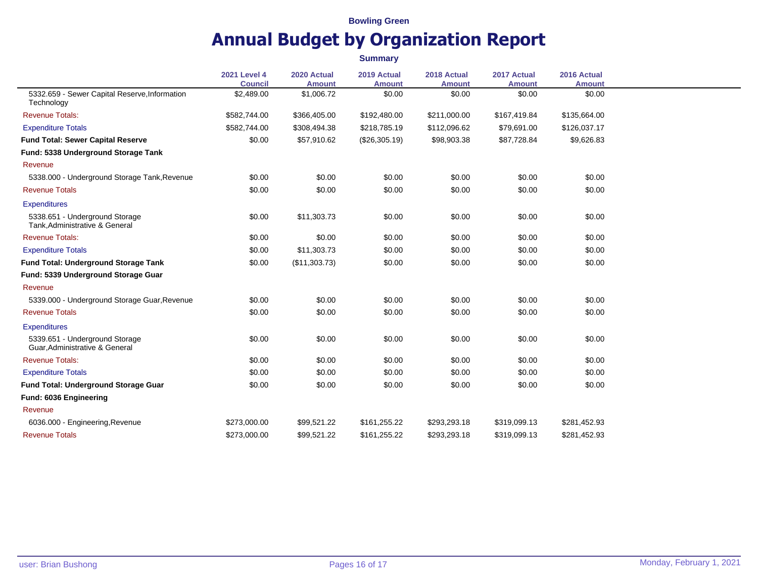**Summary**

| <b>Council</b><br><b>Amount</b><br><b>Amount</b><br><b>Amount</b><br><b>Amount</b><br><b>Amount</b><br>5332.659 - Sewer Capital Reserve, Information<br>\$0.00<br>\$0.00<br>\$0.00<br>\$2,489.00<br>\$1,006.72<br>\$0.00<br>Technology<br><b>Revenue Totals:</b><br>\$582,744.00<br>\$366,405.00<br>\$192,480.00<br>\$211,000.00<br>\$167,419.84<br>\$135,664.00<br>\$582,744.00<br><b>Expenditure Totals</b><br>\$308,494.38<br>\$218,785.19<br>\$112,096.62<br>\$79,691.00<br>\$126,037.17<br><b>Fund Total: Sewer Capital Reserve</b><br>\$0.00<br>\$57,910.62<br>(\$26,305.19)<br>\$98,903.38<br>\$87,728.84<br>\$9,626.83<br>Fund: 5338 Underground Storage Tank<br>Revenue<br>5338.000 - Underground Storage Tank, Revenue<br>\$0.00<br>\$0.00<br>\$0.00<br>\$0.00<br>\$0.00<br>\$0.00<br>\$0.00<br>\$0.00<br><b>Revenue Totals</b><br>\$0.00<br>\$0.00<br>\$0.00<br>\$0.00<br><b>Expenditures</b><br>5338.651 - Underground Storage<br>\$0.00<br>\$11,303.73<br>\$0.00<br>\$0.00<br>\$0.00<br>\$0.00<br>Tank, Administrative & General<br><b>Revenue Totals:</b><br>\$0.00<br>\$0.00<br>\$0.00<br>\$0.00<br>\$0.00<br>\$0.00<br>\$0.00<br>\$0.00<br><b>Expenditure Totals</b><br>\$0.00<br>\$11,303.73<br>\$0.00<br>\$0.00<br>\$0.00<br>\$0.00<br>\$0.00<br>\$0.00<br>Fund Total: Underground Storage Tank<br>(\$11,303.73)<br>\$0.00<br>Fund: 5339 Underground Storage Guar<br>Revenue |
|------------------------------------------------------------------------------------------------------------------------------------------------------------------------------------------------------------------------------------------------------------------------------------------------------------------------------------------------------------------------------------------------------------------------------------------------------------------------------------------------------------------------------------------------------------------------------------------------------------------------------------------------------------------------------------------------------------------------------------------------------------------------------------------------------------------------------------------------------------------------------------------------------------------------------------------------------------------------------------------------------------------------------------------------------------------------------------------------------------------------------------------------------------------------------------------------------------------------------------------------------------------------------------------------------------------------------------------------------------------------------------------------|
|                                                                                                                                                                                                                                                                                                                                                                                                                                                                                                                                                                                                                                                                                                                                                                                                                                                                                                                                                                                                                                                                                                                                                                                                                                                                                                                                                                                                |
|                                                                                                                                                                                                                                                                                                                                                                                                                                                                                                                                                                                                                                                                                                                                                                                                                                                                                                                                                                                                                                                                                                                                                                                                                                                                                                                                                                                                |
|                                                                                                                                                                                                                                                                                                                                                                                                                                                                                                                                                                                                                                                                                                                                                                                                                                                                                                                                                                                                                                                                                                                                                                                                                                                                                                                                                                                                |
|                                                                                                                                                                                                                                                                                                                                                                                                                                                                                                                                                                                                                                                                                                                                                                                                                                                                                                                                                                                                                                                                                                                                                                                                                                                                                                                                                                                                |
|                                                                                                                                                                                                                                                                                                                                                                                                                                                                                                                                                                                                                                                                                                                                                                                                                                                                                                                                                                                                                                                                                                                                                                                                                                                                                                                                                                                                |
|                                                                                                                                                                                                                                                                                                                                                                                                                                                                                                                                                                                                                                                                                                                                                                                                                                                                                                                                                                                                                                                                                                                                                                                                                                                                                                                                                                                                |
|                                                                                                                                                                                                                                                                                                                                                                                                                                                                                                                                                                                                                                                                                                                                                                                                                                                                                                                                                                                                                                                                                                                                                                                                                                                                                                                                                                                                |
|                                                                                                                                                                                                                                                                                                                                                                                                                                                                                                                                                                                                                                                                                                                                                                                                                                                                                                                                                                                                                                                                                                                                                                                                                                                                                                                                                                                                |
|                                                                                                                                                                                                                                                                                                                                                                                                                                                                                                                                                                                                                                                                                                                                                                                                                                                                                                                                                                                                                                                                                                                                                                                                                                                                                                                                                                                                |
|                                                                                                                                                                                                                                                                                                                                                                                                                                                                                                                                                                                                                                                                                                                                                                                                                                                                                                                                                                                                                                                                                                                                                                                                                                                                                                                                                                                                |
|                                                                                                                                                                                                                                                                                                                                                                                                                                                                                                                                                                                                                                                                                                                                                                                                                                                                                                                                                                                                                                                                                                                                                                                                                                                                                                                                                                                                |
|                                                                                                                                                                                                                                                                                                                                                                                                                                                                                                                                                                                                                                                                                                                                                                                                                                                                                                                                                                                                                                                                                                                                                                                                                                                                                                                                                                                                |
|                                                                                                                                                                                                                                                                                                                                                                                                                                                                                                                                                                                                                                                                                                                                                                                                                                                                                                                                                                                                                                                                                                                                                                                                                                                                                                                                                                                                |
|                                                                                                                                                                                                                                                                                                                                                                                                                                                                                                                                                                                                                                                                                                                                                                                                                                                                                                                                                                                                                                                                                                                                                                                                                                                                                                                                                                                                |
|                                                                                                                                                                                                                                                                                                                                                                                                                                                                                                                                                                                                                                                                                                                                                                                                                                                                                                                                                                                                                                                                                                                                                                                                                                                                                                                                                                                                |
| \$0.00<br>\$0.00<br>\$0.00<br>5339.000 - Underground Storage Guar, Revenue<br>\$0.00<br>\$0.00<br>\$0.00                                                                                                                                                                                                                                                                                                                                                                                                                                                                                                                                                                                                                                                                                                                                                                                                                                                                                                                                                                                                                                                                                                                                                                                                                                                                                       |
| \$0.00<br>\$0.00<br>\$0.00<br>\$0.00<br><b>Revenue Totals</b><br>\$0.00<br>\$0.00                                                                                                                                                                                                                                                                                                                                                                                                                                                                                                                                                                                                                                                                                                                                                                                                                                                                                                                                                                                                                                                                                                                                                                                                                                                                                                              |
| <b>Expenditures</b>                                                                                                                                                                                                                                                                                                                                                                                                                                                                                                                                                                                                                                                                                                                                                                                                                                                                                                                                                                                                                                                                                                                                                                                                                                                                                                                                                                            |
| 5339.651 - Underground Storage<br>\$0.00<br>\$0.00<br>\$0.00<br>\$0.00<br>\$0.00<br>\$0.00<br>Guar, Administrative & General                                                                                                                                                                                                                                                                                                                                                                                                                                                                                                                                                                                                                                                                                                                                                                                                                                                                                                                                                                                                                                                                                                                                                                                                                                                                   |
| \$0.00<br><b>Revenue Totals:</b><br>\$0.00<br>\$0.00<br>\$0.00<br>\$0.00<br>\$0.00                                                                                                                                                                                                                                                                                                                                                                                                                                                                                                                                                                                                                                                                                                                                                                                                                                                                                                                                                                                                                                                                                                                                                                                                                                                                                                             |
| \$0.00<br>\$0.00<br>\$0.00<br>\$0.00<br><b>Expenditure Totals</b><br>\$0.00<br>\$0.00                                                                                                                                                                                                                                                                                                                                                                                                                                                                                                                                                                                                                                                                                                                                                                                                                                                                                                                                                                                                                                                                                                                                                                                                                                                                                                          |
| \$0.00<br>\$0.00<br>\$0.00<br>\$0.00<br>\$0.00<br>\$0.00<br>Fund Total: Underground Storage Guar                                                                                                                                                                                                                                                                                                                                                                                                                                                                                                                                                                                                                                                                                                                                                                                                                                                                                                                                                                                                                                                                                                                                                                                                                                                                                               |
| Fund: 6036 Engineering                                                                                                                                                                                                                                                                                                                                                                                                                                                                                                                                                                                                                                                                                                                                                                                                                                                                                                                                                                                                                                                                                                                                                                                                                                                                                                                                                                         |
| Revenue                                                                                                                                                                                                                                                                                                                                                                                                                                                                                                                                                                                                                                                                                                                                                                                                                                                                                                                                                                                                                                                                                                                                                                                                                                                                                                                                                                                        |
| 6036.000 - Engineering, Revenue<br>\$273,000.00<br>\$99,521.22<br>\$161,255.22<br>\$293,293.18<br>\$319,099.13<br>\$281,452.93                                                                                                                                                                                                                                                                                                                                                                                                                                                                                                                                                                                                                                                                                                                                                                                                                                                                                                                                                                                                                                                                                                                                                                                                                                                                 |
| <b>Revenue Totals</b><br>\$273,000.00<br>\$99,521.22<br>\$161,255.22<br>\$293,293.18<br>\$319,099.13<br>\$281,452.93                                                                                                                                                                                                                                                                                                                                                                                                                                                                                                                                                                                                                                                                                                                                                                                                                                                                                                                                                                                                                                                                                                                                                                                                                                                                           |